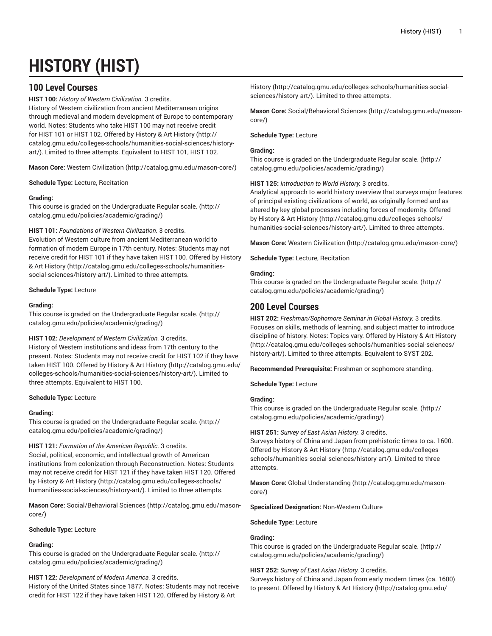# **HISTORY (HIST)**

# **100 Level Courses**

**HIST 100:** *History of Western Civilization.* 3 credits. History of Western civilization from ancient Mediterranean origins through medieval and modern development of Europe to contemporary world. Notes: Students who take HIST 100 may not receive credit for HIST 101 or HIST 102. Offered by History & Art [History](http://catalog.gmu.edu/colleges-schools/humanities-social-sciences/history-art/) ([http://](http://catalog.gmu.edu/colleges-schools/humanities-social-sciences/history-art/) [catalog.gmu.edu/colleges-schools/humanities-social-sciences/history](http://catalog.gmu.edu/colleges-schools/humanities-social-sciences/history-art/)[art/](http://catalog.gmu.edu/colleges-schools/humanities-social-sciences/history-art/)). Limited to three attempts. Equivalent to HIST 101, HIST 102.

**Mason Core:** Western [Civilization](http://catalog.gmu.edu/mason-core/) ([http://catalog.gmu.edu/mason-core/\)](http://catalog.gmu.edu/mason-core/)

**Schedule Type:** Lecture, Recitation

# **Grading:**

This course is graded on the [Undergraduate](http://catalog.gmu.edu/policies/academic/grading/) Regular scale. ([http://](http://catalog.gmu.edu/policies/academic/grading/) [catalog.gmu.edu/policies/academic/grading/\)](http://catalog.gmu.edu/policies/academic/grading/)

# **HIST 101:** *Foundations of Western Civilization.* 3 credits.

Evolution of Western culture from ancient Mediterranean world to formation of modern Europe in 17th century. Notes: Students may not receive credit for HIST 101 if they have taken HIST 100. Offered by [History](http://catalog.gmu.edu/colleges-schools/humanities-social-sciences/history-art/) & Art [History \(http://catalog.gmu.edu/colleges-schools/humanities](http://catalog.gmu.edu/colleges-schools/humanities-social-sciences/history-art/)[social-sciences/history-art/](http://catalog.gmu.edu/colleges-schools/humanities-social-sciences/history-art/)). Limited to three attempts.

# **Schedule Type:** Lecture

# **Grading:**

This course is graded on the [Undergraduate](http://catalog.gmu.edu/policies/academic/grading/) Regular scale. ([http://](http://catalog.gmu.edu/policies/academic/grading/) [catalog.gmu.edu/policies/academic/grading/\)](http://catalog.gmu.edu/policies/academic/grading/)

# **HIST 102:** *Development of Western Civilization.* 3 credits.

History of Western institutions and ideas from 17th century to the present. Notes: Students may not receive credit for HIST 102 if they have taken HIST 100. Offered by History & Art [History](http://catalog.gmu.edu/colleges-schools/humanities-social-sciences/history-art/) ([http://catalog.gmu.edu/](http://catalog.gmu.edu/colleges-schools/humanities-social-sciences/history-art/) [colleges-schools/humanities-social-sciences/history-art/](http://catalog.gmu.edu/colleges-schools/humanities-social-sciences/history-art/)). Limited to three attempts. Equivalent to HIST 100.

# **Schedule Type:** Lecture

# **Grading:**

This course is graded on the [Undergraduate](http://catalog.gmu.edu/policies/academic/grading/) Regular scale. ([http://](http://catalog.gmu.edu/policies/academic/grading/) [catalog.gmu.edu/policies/academic/grading/\)](http://catalog.gmu.edu/policies/academic/grading/)

# **HIST 121:** *Formation of the American Republic.* 3 credits.

Social, political, economic, and intellectual growth of American institutions from colonization through Reconstruction. Notes: Students may not receive credit for HIST 121 if they have taken HIST 120. Offered by History & Art [History](http://catalog.gmu.edu/colleges-schools/humanities-social-sciences/history-art/) ([http://catalog.gmu.edu/colleges-schools/](http://catalog.gmu.edu/colleges-schools/humanities-social-sciences/history-art/) [humanities-social-sciences/history-art/](http://catalog.gmu.edu/colleges-schools/humanities-social-sciences/history-art/)). Limited to three attempts.

**Mason Core:** [Social/Behavioral](http://catalog.gmu.edu/mason-core/) Sciences ([http://catalog.gmu.edu/mason](http://catalog.gmu.edu/mason-core/)[core/\)](http://catalog.gmu.edu/mason-core/)

# **Schedule Type:** Lecture

# **Grading:**

This course is graded on the [Undergraduate](http://catalog.gmu.edu/policies/academic/grading/) Regular scale. ([http://](http://catalog.gmu.edu/policies/academic/grading/) [catalog.gmu.edu/policies/academic/grading/\)](http://catalog.gmu.edu/policies/academic/grading/)

# **HIST 122:** *Development of Modern America.* 3 credits.

History of the United States since 1877. Notes: Students may not receive credit for HIST 122 if they have taken HIST 120. Offered by [History](http://catalog.gmu.edu/colleges-schools/humanities-social-sciences/history-art/) & Art

[History](http://catalog.gmu.edu/colleges-schools/humanities-social-sciences/history-art/) [\(http://catalog.gmu.edu/colleges-schools/humanities-social](http://catalog.gmu.edu/colleges-schools/humanities-social-sciences/history-art/)[sciences/history-art/\)](http://catalog.gmu.edu/colleges-schools/humanities-social-sciences/history-art/). Limited to three attempts.

**Mason Core:** [Social/Behavioral](http://catalog.gmu.edu/mason-core/) Sciences [\(http://catalog.gmu.edu/mason](http://catalog.gmu.edu/mason-core/)[core/](http://catalog.gmu.edu/mason-core/))

# **Schedule Type:** Lecture

# **Grading:**

This course is graded on the [Undergraduate](http://catalog.gmu.edu/policies/academic/grading/) Regular scale. ([http://](http://catalog.gmu.edu/policies/academic/grading/) [catalog.gmu.edu/policies/academic/grading/](http://catalog.gmu.edu/policies/academic/grading/))

**HIST 125:** *Introduction to World History.* 3 credits.

Analytical approach to world history overview that surveys major features of principal existing civilizations of world, as originally formed and as altered by key global processes including forces of modernity. Offered by History & Art [History \(http://catalog.gmu.edu/colleges-schools/](http://catalog.gmu.edu/colleges-schools/humanities-social-sciences/history-art/) [humanities-social-sciences/history-art/\)](http://catalog.gmu.edu/colleges-schools/humanities-social-sciences/history-art/). Limited to three attempts.

**Mason Core:** Western [Civilization \(http://catalog.gmu.edu/mason-core/](http://catalog.gmu.edu/mason-core/))

**Schedule Type:** Lecture, Recitation

# **Grading:**

This course is graded on the [Undergraduate](http://catalog.gmu.edu/policies/academic/grading/) Regular scale. ([http://](http://catalog.gmu.edu/policies/academic/grading/) [catalog.gmu.edu/policies/academic/grading/](http://catalog.gmu.edu/policies/academic/grading/))

# **200 Level Courses**

**HIST 202:** *Freshman/Sophomore Seminar in Global History.* 3 credits. Focuses on skills, methods of learning, and subject matter to introduce discipline of history. Notes: Topics vary. Offered by [History](http://catalog.gmu.edu/colleges-schools/humanities-social-sciences/history-art/) & Art History [\(http://catalog.gmu.edu/colleges-schools/humanities-social-sciences/](http://catalog.gmu.edu/colleges-schools/humanities-social-sciences/history-art/) [history-art/\)](http://catalog.gmu.edu/colleges-schools/humanities-social-sciences/history-art/). Limited to three attempts. Equivalent to SYST 202.

**Recommended Prerequisite:** Freshman or sophomore standing.

**Schedule Type:** Lecture

# **Grading:**

This course is graded on the [Undergraduate](http://catalog.gmu.edu/policies/academic/grading/) Regular scale. ([http://](http://catalog.gmu.edu/policies/academic/grading/) [catalog.gmu.edu/policies/academic/grading/](http://catalog.gmu.edu/policies/academic/grading/))

# **HIST 251:** *Survey of East Asian History.* 3 credits.

Surveys history of China and Japan from prehistoric times to ca. 1600. Offered by [History](http://catalog.gmu.edu/colleges-schools/humanities-social-sciences/history-art/) & Art History ([http://catalog.gmu.edu/colleges](http://catalog.gmu.edu/colleges-schools/humanities-social-sciences/history-art/)[schools/humanities-social-sciences/history-art/](http://catalog.gmu.edu/colleges-schools/humanities-social-sciences/history-art/)). Limited to three attempts.

**Mason Core:** [Global Understanding \(http://catalog.gmu.edu/mason](http://catalog.gmu.edu/mason-core/)[core/](http://catalog.gmu.edu/mason-core/))

**Specialized Designation:** Non-Western Culture

**Schedule Type:** Lecture

# **Grading:**

This course is graded on the [Undergraduate](http://catalog.gmu.edu/policies/academic/grading/) Regular scale. ([http://](http://catalog.gmu.edu/policies/academic/grading/) [catalog.gmu.edu/policies/academic/grading/](http://catalog.gmu.edu/policies/academic/grading/))

# **HIST 252:** *Survey of East Asian History.* 3 credits.

Surveys history of China and Japan from early modern times (ca. 1600) to present. Offered by History & Art [History \(http://catalog.gmu.edu/](http://catalog.gmu.edu/colleges-schools/humanities-social-sciences/history-art/)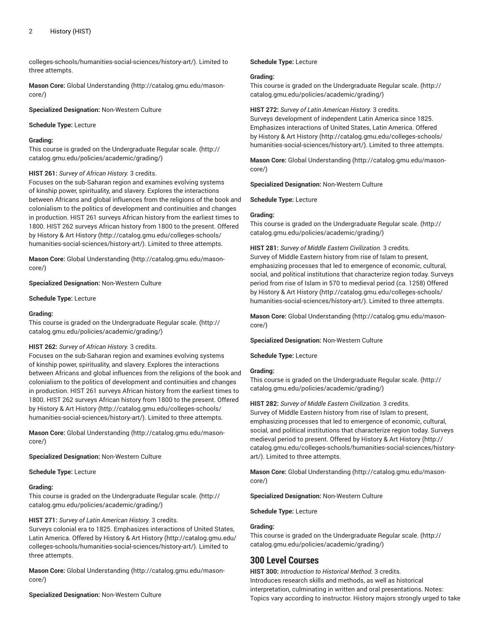[colleges-schools/humanities-social-sciences/history-art/](http://catalog.gmu.edu/colleges-schools/humanities-social-sciences/history-art/)). Limited to three attempts.

**Mason Core:** [Global Understanding](http://catalog.gmu.edu/mason-core/) ([http://catalog.gmu.edu/mason](http://catalog.gmu.edu/mason-core/)[core/\)](http://catalog.gmu.edu/mason-core/)

**Specialized Designation:** Non-Western Culture

**Schedule Type:** Lecture

# **Grading:**

This course is graded on the [Undergraduate](http://catalog.gmu.edu/policies/academic/grading/) Regular scale. ([http://](http://catalog.gmu.edu/policies/academic/grading/) [catalog.gmu.edu/policies/academic/grading/\)](http://catalog.gmu.edu/policies/academic/grading/)

#### **HIST 261:** *Survey of African History.* 3 credits.

Focuses on the sub-Saharan region and examines evolving systems of kinship power, spirituality, and slavery. Explores the interactions between Africans and global influences from the religions of the book and colonialism to the politics of development and continuities and changes in production. HIST 261 surveys African history from the earliest times to 1800. HIST 262 surveys African history from 1800 to the present. Offered by History & Art [History](http://catalog.gmu.edu/colleges-schools/humanities-social-sciences/history-art/) ([http://catalog.gmu.edu/colleges-schools/](http://catalog.gmu.edu/colleges-schools/humanities-social-sciences/history-art/) [humanities-social-sciences/history-art/](http://catalog.gmu.edu/colleges-schools/humanities-social-sciences/history-art/)). Limited to three attempts.

**Mason Core:** [Global Understanding](http://catalog.gmu.edu/mason-core/) ([http://catalog.gmu.edu/mason](http://catalog.gmu.edu/mason-core/)[core/\)](http://catalog.gmu.edu/mason-core/)

**Specialized Designation:** Non-Western Culture

**Schedule Type:** Lecture

#### **Grading:**

This course is graded on the [Undergraduate](http://catalog.gmu.edu/policies/academic/grading/) Regular scale. ([http://](http://catalog.gmu.edu/policies/academic/grading/) [catalog.gmu.edu/policies/academic/grading/\)](http://catalog.gmu.edu/policies/academic/grading/)

#### **HIST 262:** *Survey of African History.* 3 credits.

Focuses on the sub-Saharan region and examines evolving systems of kinship power, spirituality, and slavery. Explores the interactions between Africans and global influences from the religions of the book and colonialism to the politics of development and continuities and changes in production. HIST 261 surveys African history from the earliest times to 1800. HIST 262 surveys African history from 1800 to the present. Offered by History & Art [History](http://catalog.gmu.edu/colleges-schools/humanities-social-sciences/history-art/) ([http://catalog.gmu.edu/colleges-schools/](http://catalog.gmu.edu/colleges-schools/humanities-social-sciences/history-art/) [humanities-social-sciences/history-art/](http://catalog.gmu.edu/colleges-schools/humanities-social-sciences/history-art/)). Limited to three attempts.

**Mason Core:** [Global Understanding](http://catalog.gmu.edu/mason-core/) ([http://catalog.gmu.edu/mason](http://catalog.gmu.edu/mason-core/)[core/\)](http://catalog.gmu.edu/mason-core/)

**Specialized Designation:** Non-Western Culture

**Schedule Type:** Lecture

#### **Grading:**

This course is graded on the [Undergraduate](http://catalog.gmu.edu/policies/academic/grading/) Regular scale. ([http://](http://catalog.gmu.edu/policies/academic/grading/) [catalog.gmu.edu/policies/academic/grading/\)](http://catalog.gmu.edu/policies/academic/grading/)

#### **HIST 271:** *Survey of Latin American History.* 3 credits.

Surveys colonial era to 1825. Emphasizes interactions of United States, Latin America. Offered by History & Art [History \(http://catalog.gmu.edu/](http://catalog.gmu.edu/colleges-schools/humanities-social-sciences/history-art/) [colleges-schools/humanities-social-sciences/history-art/](http://catalog.gmu.edu/colleges-schools/humanities-social-sciences/history-art/)). Limited to three attempts.

**Mason Core:** [Global Understanding](http://catalog.gmu.edu/mason-core/) ([http://catalog.gmu.edu/mason](http://catalog.gmu.edu/mason-core/)[core/\)](http://catalog.gmu.edu/mason-core/)

# **Specialized Designation:** Non-Western Culture

**Schedule Type:** Lecture

#### **Grading:**

This course is graded on the [Undergraduate](http://catalog.gmu.edu/policies/academic/grading/) Regular scale. ([http://](http://catalog.gmu.edu/policies/academic/grading/) [catalog.gmu.edu/policies/academic/grading/](http://catalog.gmu.edu/policies/academic/grading/))

#### **HIST 272:** *Survey of Latin American History.* 3 credits.

Surveys development of independent Latin America since 1825. Emphasizes interactions of United States, Latin America. Offered by History & Art [History \(http://catalog.gmu.edu/colleges-schools/](http://catalog.gmu.edu/colleges-schools/humanities-social-sciences/history-art/) [humanities-social-sciences/history-art/\)](http://catalog.gmu.edu/colleges-schools/humanities-social-sciences/history-art/). Limited to three attempts.

**Mason Core:** [Global Understanding \(http://catalog.gmu.edu/mason](http://catalog.gmu.edu/mason-core/)[core/](http://catalog.gmu.edu/mason-core/))

**Specialized Designation:** Non-Western Culture

**Schedule Type:** Lecture

#### **Grading:**

This course is graded on the [Undergraduate](http://catalog.gmu.edu/policies/academic/grading/) Regular scale. ([http://](http://catalog.gmu.edu/policies/academic/grading/) [catalog.gmu.edu/policies/academic/grading/](http://catalog.gmu.edu/policies/academic/grading/))

# **HIST 281:** *Survey of Middle Eastern Civilization.* 3 credits.

Survey of Middle Eastern history from rise of Islam to present, emphasizing processes that led to emergence of economic, cultural, social, and political institutions that characterize region today. Surveys period from rise of Islam in 570 to medieval period (ca. 1258) Offered by History & Art [History \(http://catalog.gmu.edu/colleges-schools/](http://catalog.gmu.edu/colleges-schools/humanities-social-sciences/history-art/) [humanities-social-sciences/history-art/\)](http://catalog.gmu.edu/colleges-schools/humanities-social-sciences/history-art/). Limited to three attempts.

**Mason Core:** [Global Understanding \(http://catalog.gmu.edu/mason](http://catalog.gmu.edu/mason-core/)[core/](http://catalog.gmu.edu/mason-core/))

**Specialized Designation:** Non-Western Culture

**Schedule Type:** Lecture

# **Grading:**

This course is graded on the [Undergraduate](http://catalog.gmu.edu/policies/academic/grading/) Regular scale. ([http://](http://catalog.gmu.edu/policies/academic/grading/) [catalog.gmu.edu/policies/academic/grading/](http://catalog.gmu.edu/policies/academic/grading/))

#### **HIST 282:** *Survey of Middle Eastern Civilization.* 3 credits.

Survey of Middle Eastern history from rise of Islam to present, emphasizing processes that led to emergence of economic, cultural, social, and political institutions that characterize region today. Surveys medieval period to present. Offered by History & Art [History \(http://](http://catalog.gmu.edu/colleges-schools/humanities-social-sciences/history-art/) [catalog.gmu.edu/colleges-schools/humanities-social-sciences/history](http://catalog.gmu.edu/colleges-schools/humanities-social-sciences/history-art/)[art/\)](http://catalog.gmu.edu/colleges-schools/humanities-social-sciences/history-art/). Limited to three attempts.

**Mason Core:** [Global Understanding \(http://catalog.gmu.edu/mason](http://catalog.gmu.edu/mason-core/)[core/](http://catalog.gmu.edu/mason-core/))

**Specialized Designation:** Non-Western Culture

**Schedule Type:** Lecture

# **Grading:**

This course is graded on the [Undergraduate](http://catalog.gmu.edu/policies/academic/grading/) Regular scale. ([http://](http://catalog.gmu.edu/policies/academic/grading/) [catalog.gmu.edu/policies/academic/grading/](http://catalog.gmu.edu/policies/academic/grading/))

# **300 Level Courses**

**HIST 300:** *Introduction to Historical Method.* 3 credits. Introduces research skills and methods, as well as historical interpretation, culminating in written and oral presentations. Notes: Topics vary according to instructor. History majors strongly urged to take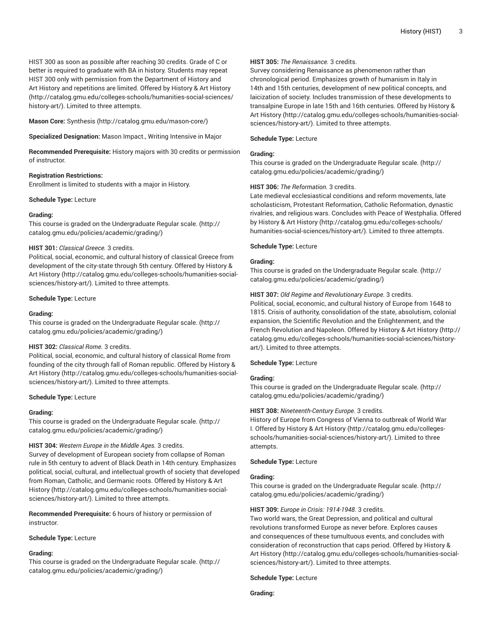HIST 300 as soon as possible after reaching 30 credits. Grade of C or better is required to graduate with BA in history. Students may repeat HIST 300 only with permission from the Department of History and Art History and repetitions are limited. Offered by History & Art [History](http://catalog.gmu.edu/colleges-schools/humanities-social-sciences/history-art/) ([http://catalog.gmu.edu/colleges-schools/humanities-social-sciences/](http://catalog.gmu.edu/colleges-schools/humanities-social-sciences/history-art/) [history-art/](http://catalog.gmu.edu/colleges-schools/humanities-social-sciences/history-art/)). Limited to three attempts.

**Mason Core:** [Synthesis \(http://catalog.gmu.edu/mason-core/](http://catalog.gmu.edu/mason-core/))

**Specialized Designation:** Mason Impact., Writing Intensive in Major

**Recommended Prerequisite:** History majors with 30 credits or permission of instructor.

#### **Registration Restrictions:**

Enrollment is limited to students with a major in History.

**Schedule Type:** Lecture

# **Grading:**

This course is graded on the [Undergraduate](http://catalog.gmu.edu/policies/academic/grading/) Regular scale. ([http://](http://catalog.gmu.edu/policies/academic/grading/) [catalog.gmu.edu/policies/academic/grading/\)](http://catalog.gmu.edu/policies/academic/grading/)

#### **HIST 301:** *Classical Greece.* 3 credits.

Political, social, economic, and cultural history of classical Greece from development of the city-state through 5th century. Offered by [History](http://catalog.gmu.edu/colleges-schools/humanities-social-sciences/history-art/) & Art [History \(http://catalog.gmu.edu/colleges-schools/humanities-social](http://catalog.gmu.edu/colleges-schools/humanities-social-sciences/history-art/)[sciences/history-art/](http://catalog.gmu.edu/colleges-schools/humanities-social-sciences/history-art/)). Limited to three attempts.

#### **Schedule Type:** Lecture

#### **Grading:**

This course is graded on the [Undergraduate](http://catalog.gmu.edu/policies/academic/grading/) Regular scale. ([http://](http://catalog.gmu.edu/policies/academic/grading/) [catalog.gmu.edu/policies/academic/grading/\)](http://catalog.gmu.edu/policies/academic/grading/)

# **HIST 302:** *Classical Rome.* 3 credits.

Political, social, economic, and cultural history of classical Rome from founding of the city through fall of Roman republic. Offered by [History](http://catalog.gmu.edu/colleges-schools/humanities-social-sciences/history-art/) & Art [History \(http://catalog.gmu.edu/colleges-schools/humanities-social](http://catalog.gmu.edu/colleges-schools/humanities-social-sciences/history-art/)[sciences/history-art/](http://catalog.gmu.edu/colleges-schools/humanities-social-sciences/history-art/)). Limited to three attempts.

#### **Schedule Type:** Lecture

# **Grading:**

This course is graded on the [Undergraduate](http://catalog.gmu.edu/policies/academic/grading/) Regular scale. ([http://](http://catalog.gmu.edu/policies/academic/grading/) [catalog.gmu.edu/policies/academic/grading/\)](http://catalog.gmu.edu/policies/academic/grading/)

#### **HIST 304:** *Western Europe in the Middle Ages.* 3 credits.

Survey of development of European society from collapse of Roman rule in 5th century to advent of Black Death in 14th century. Emphasizes political, social, cultural, and intellectual growth of society that developed from Roman, Catholic, and Germanic roots. Offered by [History](http://catalog.gmu.edu/colleges-schools/humanities-social-sciences/history-art/) & Art [History](http://catalog.gmu.edu/colleges-schools/humanities-social-sciences/history-art/) ([http://catalog.gmu.edu/colleges-schools/humanities-social](http://catalog.gmu.edu/colleges-schools/humanities-social-sciences/history-art/)[sciences/history-art/](http://catalog.gmu.edu/colleges-schools/humanities-social-sciences/history-art/)). Limited to three attempts.

**Recommended Prerequisite:** 6 hours of history or permission of instructor.

#### **Schedule Type:** Lecture

# **Grading:**

This course is graded on the [Undergraduate](http://catalog.gmu.edu/policies/academic/grading/) Regular scale. ([http://](http://catalog.gmu.edu/policies/academic/grading/) [catalog.gmu.edu/policies/academic/grading/\)](http://catalog.gmu.edu/policies/academic/grading/)

# **HIST 305:** *The Renaissance.* 3 credits.

Survey considering Renaissance as phenomenon rather than chronological period. Emphasizes growth of humanism in Italy in 14th and 15th centuries, development of new political concepts, and laicization of society. Includes transmission of these developments to transalpine Europe in late 15th and 16th centuries. Offered by [History](http://catalog.gmu.edu/colleges-schools/humanities-social-sciences/history-art/) & Art [History](http://catalog.gmu.edu/colleges-schools/humanities-social-sciences/history-art/) ([http://catalog.gmu.edu/colleges-schools/humanities-social](http://catalog.gmu.edu/colleges-schools/humanities-social-sciences/history-art/)[sciences/history-art/\)](http://catalog.gmu.edu/colleges-schools/humanities-social-sciences/history-art/). Limited to three attempts.

#### **Schedule Type:** Lecture

#### **Grading:**

This course is graded on the [Undergraduate](http://catalog.gmu.edu/policies/academic/grading/) Regular scale. ([http://](http://catalog.gmu.edu/policies/academic/grading/) [catalog.gmu.edu/policies/academic/grading/](http://catalog.gmu.edu/policies/academic/grading/))

# **HIST 306:** *The Reformation.* 3 credits.

Late medieval ecclesiastical conditions and reform movements, late scholasticism, Protestant Reformation, Catholic Reformation, dynastic rivalries, and religious wars. Concludes with Peace of Westphalia. Offered by History & Art [History \(http://catalog.gmu.edu/colleges-schools/](http://catalog.gmu.edu/colleges-schools/humanities-social-sciences/history-art/) [humanities-social-sciences/history-art/\)](http://catalog.gmu.edu/colleges-schools/humanities-social-sciences/history-art/). Limited to three attempts.

# **Schedule Type:** Lecture

# **Grading:**

This course is graded on the [Undergraduate](http://catalog.gmu.edu/policies/academic/grading/) Regular scale. ([http://](http://catalog.gmu.edu/policies/academic/grading/) [catalog.gmu.edu/policies/academic/grading/](http://catalog.gmu.edu/policies/academic/grading/))

# **HIST 307:** *Old Regime and Revolutionary Europe.* 3 credits.

Political, social, economic, and cultural history of Europe from 1648 to 1815. Crisis of authority, consolidation of the state, absolutism, colonial expansion, the Scientific Revolution and the Enlightenment, and the French Revolution and Napoleon. Offered by History & Art [History](http://catalog.gmu.edu/colleges-schools/humanities-social-sciences/history-art/) ([http://](http://catalog.gmu.edu/colleges-schools/humanities-social-sciences/history-art/) [catalog.gmu.edu/colleges-schools/humanities-social-sciences/history](http://catalog.gmu.edu/colleges-schools/humanities-social-sciences/history-art/)[art/\)](http://catalog.gmu.edu/colleges-schools/humanities-social-sciences/history-art/). Limited to three attempts.

# **Schedule Type:** Lecture

# **Grading:**

This course is graded on the [Undergraduate](http://catalog.gmu.edu/policies/academic/grading/) Regular scale. ([http://](http://catalog.gmu.edu/policies/academic/grading/) [catalog.gmu.edu/policies/academic/grading/](http://catalog.gmu.edu/policies/academic/grading/))

# **HIST 308:** *Nineteenth-Century Europe.* 3 credits.

History of Europe from Congress of Vienna to outbreak of World War I. Offered by [History](http://catalog.gmu.edu/colleges-schools/humanities-social-sciences/history-art/) & Art History [\(http://catalog.gmu.edu/colleges](http://catalog.gmu.edu/colleges-schools/humanities-social-sciences/history-art/)[schools/humanities-social-sciences/history-art/](http://catalog.gmu.edu/colleges-schools/humanities-social-sciences/history-art/)). Limited to three attempts.

**Schedule Type:** Lecture

# **Grading:**

This course is graded on the [Undergraduate](http://catalog.gmu.edu/policies/academic/grading/) Regular scale. ([http://](http://catalog.gmu.edu/policies/academic/grading/) [catalog.gmu.edu/policies/academic/grading/](http://catalog.gmu.edu/policies/academic/grading/))

# **HIST 309:** *Europe in Crisis: 1914-1948.* 3 credits.

Two world wars, the Great Depression, and political and cultural revolutions transformed Europe as never before. Explores causes and consequences of these tumultuous events, and concludes with consideration of reconstruction that caps period. Offered by [History](http://catalog.gmu.edu/colleges-schools/humanities-social-sciences/history-art/) & Art [History](http://catalog.gmu.edu/colleges-schools/humanities-social-sciences/history-art/) ([http://catalog.gmu.edu/colleges-schools/humanities-social](http://catalog.gmu.edu/colleges-schools/humanities-social-sciences/history-art/)[sciences/history-art/\)](http://catalog.gmu.edu/colleges-schools/humanities-social-sciences/history-art/). Limited to three attempts.

#### **Schedule Type:** Lecture

**Grading:**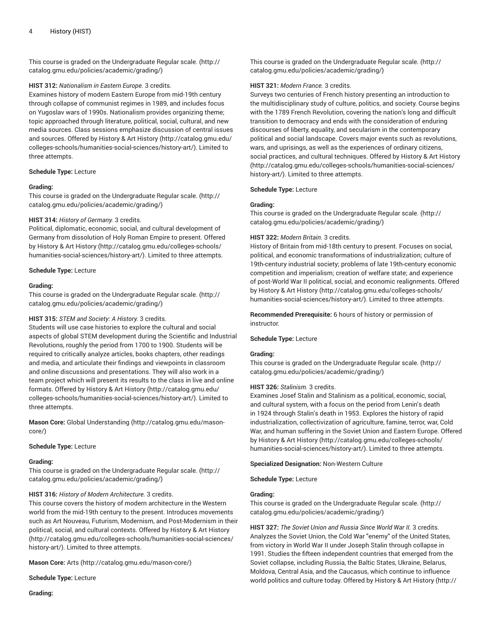This course is graded on the [Undergraduate](http://catalog.gmu.edu/policies/academic/grading/) Regular scale. ([http://](http://catalog.gmu.edu/policies/academic/grading/) [catalog.gmu.edu/policies/academic/grading/\)](http://catalog.gmu.edu/policies/academic/grading/)

# **HIST 312:** *Nationalism in Eastern Europe.* 3 credits.

Examines history of modern Eastern Europe from mid-19th century through collapse of communist regimes in 1989, and includes focus on Yugoslav wars of 1990s. Nationalism provides organizing theme; topic approached through literature, political, social, cultural, and new media sources. Class sessions emphasize discussion of central issues and sources. Offered by History & Art [History \(http://catalog.gmu.edu/](http://catalog.gmu.edu/colleges-schools/humanities-social-sciences/history-art/) [colleges-schools/humanities-social-sciences/history-art/](http://catalog.gmu.edu/colleges-schools/humanities-social-sciences/history-art/)). Limited to three attempts.

#### **Schedule Type:** Lecture

#### **Grading:**

This course is graded on the [Undergraduate](http://catalog.gmu.edu/policies/academic/grading/) Regular scale. ([http://](http://catalog.gmu.edu/policies/academic/grading/) [catalog.gmu.edu/policies/academic/grading/\)](http://catalog.gmu.edu/policies/academic/grading/)

#### **HIST 314:** *History of Germany.* 3 credits.

Political, diplomatic, economic, social, and cultural development of Germany from dissolution of Holy Roman Empire to present. Offered by History & Art [History](http://catalog.gmu.edu/colleges-schools/humanities-social-sciences/history-art/) ([http://catalog.gmu.edu/colleges-schools/](http://catalog.gmu.edu/colleges-schools/humanities-social-sciences/history-art/) [humanities-social-sciences/history-art/](http://catalog.gmu.edu/colleges-schools/humanities-social-sciences/history-art/)). Limited to three attempts.

#### **Schedule Type:** Lecture

#### **Grading:**

This course is graded on the [Undergraduate](http://catalog.gmu.edu/policies/academic/grading/) Regular scale. ([http://](http://catalog.gmu.edu/policies/academic/grading/) [catalog.gmu.edu/policies/academic/grading/\)](http://catalog.gmu.edu/policies/academic/grading/)

# **HIST 315:** *STEM and Society: A History.* 3 credits.

Students will use case histories to explore the cultural and social aspects of global STEM development during the Scientific and Industrial Revolutions, roughly the period from 1700 to 1900. Students will be required to critically analyze articles, books chapters, other readings and media, and articulate their findings and viewpoints in classroom and online discussions and presentations. They will also work in a team project which will present its results to the class in live and online formats. Offered by History & Art [History](http://catalog.gmu.edu/colleges-schools/humanities-social-sciences/history-art/) ([http://catalog.gmu.edu/](http://catalog.gmu.edu/colleges-schools/humanities-social-sciences/history-art/) [colleges-schools/humanities-social-sciences/history-art/](http://catalog.gmu.edu/colleges-schools/humanities-social-sciences/history-art/)). Limited to three attempts.

**Mason Core:** [Global Understanding](http://catalog.gmu.edu/mason-core/) ([http://catalog.gmu.edu/mason](http://catalog.gmu.edu/mason-core/)[core/\)](http://catalog.gmu.edu/mason-core/)

#### **Schedule Type:** Lecture

#### **Grading:**

This course is graded on the [Undergraduate](http://catalog.gmu.edu/policies/academic/grading/) Regular scale. ([http://](http://catalog.gmu.edu/policies/academic/grading/) [catalog.gmu.edu/policies/academic/grading/\)](http://catalog.gmu.edu/policies/academic/grading/)

# **HIST 316:** *History of Modern Architecture.* 3 credits.

This course covers the history of modern architecture in the Western world from the mid-19th century to the present. Introduces movements such as Art Nouveau, Futurism, Modernism, and Post-Modernism in their political, social, and cultural contexts. Offered by [History](http://catalog.gmu.edu/colleges-schools/humanities-social-sciences/history-art/) & Art History ([http://catalog.gmu.edu/colleges-schools/humanities-social-sciences/](http://catalog.gmu.edu/colleges-schools/humanities-social-sciences/history-art/) [history-art/](http://catalog.gmu.edu/colleges-schools/humanities-social-sciences/history-art/)). Limited to three attempts.

**Mason Core:** [Arts](http://catalog.gmu.edu/mason-core/) ([http://catalog.gmu.edu/mason-core/\)](http://catalog.gmu.edu/mason-core/)

**Schedule Type:** Lecture

**Grading:**

This course is graded on the [Undergraduate](http://catalog.gmu.edu/policies/academic/grading/) Regular scale. ([http://](http://catalog.gmu.edu/policies/academic/grading/) [catalog.gmu.edu/policies/academic/grading/](http://catalog.gmu.edu/policies/academic/grading/))

#### **HIST 321:** *Modern France.* 3 credits.

Surveys two centuries of French history presenting an introduction to the multidisciplinary study of culture, politics, and society. Course begins with the 1789 French Revolution, covering the nation's long and difficult transition to democracy and ends with the consideration of enduring discourses of liberty, equality, and secularism in the contemporary political and social landscape. Covers major events such as revolutions, wars, and uprisings, as well as the experiences of ordinary citizens, social practices, and cultural techniques. Offered by History & Art [History](http://catalog.gmu.edu/colleges-schools/humanities-social-sciences/history-art/) [\(http://catalog.gmu.edu/colleges-schools/humanities-social-sciences/](http://catalog.gmu.edu/colleges-schools/humanities-social-sciences/history-art/) [history-art/\)](http://catalog.gmu.edu/colleges-schools/humanities-social-sciences/history-art/). Limited to three attempts.

#### **Schedule Type:** Lecture

#### **Grading:**

This course is graded on the [Undergraduate](http://catalog.gmu.edu/policies/academic/grading/) Regular scale. ([http://](http://catalog.gmu.edu/policies/academic/grading/) [catalog.gmu.edu/policies/academic/grading/](http://catalog.gmu.edu/policies/academic/grading/))

# **HIST 322:** *Modern Britain.* 3 credits.

History of Britain from mid-18th century to present. Focuses on social, political, and economic transformations of industrialization; culture of 19th-century industrial society; problems of late 19th-century economic competition and imperialism; creation of welfare state; and experience of post-World War II political, social, and economic realignments. Offered by History & Art [History \(http://catalog.gmu.edu/colleges-schools/](http://catalog.gmu.edu/colleges-schools/humanities-social-sciences/history-art/) [humanities-social-sciences/history-art/\)](http://catalog.gmu.edu/colleges-schools/humanities-social-sciences/history-art/). Limited to three attempts.

**Recommended Prerequisite:** 6 hours of history or permission of instructor.

#### **Schedule Type:** Lecture

#### **Grading:**

This course is graded on the [Undergraduate](http://catalog.gmu.edu/policies/academic/grading/) Regular scale. ([http://](http://catalog.gmu.edu/policies/academic/grading/) [catalog.gmu.edu/policies/academic/grading/](http://catalog.gmu.edu/policies/academic/grading/))

# **HIST 326:** *Stalinism.* 3 credits.

Examines Josef Stalin and Stalinism as a political, economic, social, and cultural system, with a focus on the period from Lenin's death in 1924 through Stalin's death in 1953. Explores the history of rapid industrialization, collectivization of agriculture, famine, terror, war, Cold War, and human suffering in the Soviet Union and Eastern Europe. Offered by History & Art [History \(http://catalog.gmu.edu/colleges-schools/](http://catalog.gmu.edu/colleges-schools/humanities-social-sciences/history-art/) [humanities-social-sciences/history-art/\)](http://catalog.gmu.edu/colleges-schools/humanities-social-sciences/history-art/). Limited to three attempts.

**Specialized Designation:** Non-Western Culture

**Schedule Type:** Lecture

# **Grading:**

This course is graded on the [Undergraduate](http://catalog.gmu.edu/policies/academic/grading/) Regular scale. ([http://](http://catalog.gmu.edu/policies/academic/grading/) [catalog.gmu.edu/policies/academic/grading/](http://catalog.gmu.edu/policies/academic/grading/))

**HIST 327:** *The Soviet Union and Russia Since World War II.* 3 credits. Analyzes the Soviet Union, the Cold War "enemy" of the United States, from victory in World War II under Joseph Stalin through collapse in 1991. Studies the fifteen independent countries that emerged from the Soviet collapse, including Russia, the Baltic States, Ukraine, Belarus, Moldova, Central Asia, and the Caucasus, which continue to influence world politics and culture today. Offered by [History](http://catalog.gmu.edu/colleges-schools/humanities-social-sciences/history-art/) & Art History ([http://](http://catalog.gmu.edu/colleges-schools/humanities-social-sciences/history-art/)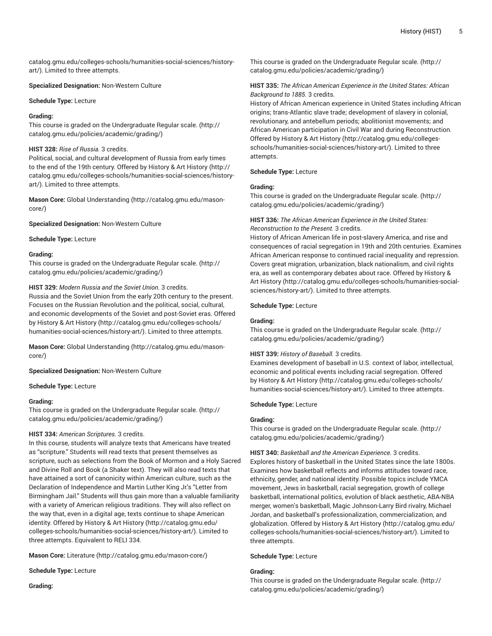[catalog.gmu.edu/colleges-schools/humanities-social-sciences/history](http://catalog.gmu.edu/colleges-schools/humanities-social-sciences/history-art/)[art/](http://catalog.gmu.edu/colleges-schools/humanities-social-sciences/history-art/)). Limited to three attempts.

**Specialized Designation:** Non-Western Culture

#### **Schedule Type:** Lecture

# **Grading:**

This course is graded on the [Undergraduate](http://catalog.gmu.edu/policies/academic/grading/) Regular scale. ([http://](http://catalog.gmu.edu/policies/academic/grading/) [catalog.gmu.edu/policies/academic/grading/\)](http://catalog.gmu.edu/policies/academic/grading/)

# **HIST 328:** *Rise of Russia.* 3 credits.

Political, social, and cultural development of Russia from early times to the end of the 19th century. Offered by [History](http://catalog.gmu.edu/colleges-schools/humanities-social-sciences/history-art/) & Art History [\(http://](http://catalog.gmu.edu/colleges-schools/humanities-social-sciences/history-art/) [catalog.gmu.edu/colleges-schools/humanities-social-sciences/history](http://catalog.gmu.edu/colleges-schools/humanities-social-sciences/history-art/)[art/](http://catalog.gmu.edu/colleges-schools/humanities-social-sciences/history-art/)). Limited to three attempts.

**Mason Core:** [Global Understanding](http://catalog.gmu.edu/mason-core/) ([http://catalog.gmu.edu/mason](http://catalog.gmu.edu/mason-core/)[core/\)](http://catalog.gmu.edu/mason-core/)

**Specialized Designation:** Non-Western Culture

#### **Schedule Type:** Lecture

#### **Grading:**

This course is graded on the [Undergraduate](http://catalog.gmu.edu/policies/academic/grading/) Regular scale. ([http://](http://catalog.gmu.edu/policies/academic/grading/) [catalog.gmu.edu/policies/academic/grading/\)](http://catalog.gmu.edu/policies/academic/grading/)

# **HIST 329:** *Modern Russia and the Soviet Union.* 3 credits.

Russia and the Soviet Union from the early 20th century to the present. Focuses on the Russian Revolution and the political, social, cultural, and economic developments of the Soviet and post-Soviet eras. Offered by History & Art [History](http://catalog.gmu.edu/colleges-schools/humanities-social-sciences/history-art/) ([http://catalog.gmu.edu/colleges-schools/](http://catalog.gmu.edu/colleges-schools/humanities-social-sciences/history-art/) [humanities-social-sciences/history-art/](http://catalog.gmu.edu/colleges-schools/humanities-social-sciences/history-art/)). Limited to three attempts.

**Mason Core:** [Global Understanding](http://catalog.gmu.edu/mason-core/) ([http://catalog.gmu.edu/mason](http://catalog.gmu.edu/mason-core/)[core/\)](http://catalog.gmu.edu/mason-core/)

**Specialized Designation:** Non-Western Culture

**Schedule Type:** Lecture

#### **Grading:**

This course is graded on the [Undergraduate](http://catalog.gmu.edu/policies/academic/grading/) Regular scale. ([http://](http://catalog.gmu.edu/policies/academic/grading/) [catalog.gmu.edu/policies/academic/grading/\)](http://catalog.gmu.edu/policies/academic/grading/)

#### **HIST 334:** *American Scriptures.* 3 credits.

In this course, students will analyze texts that Americans have treated as "scripture." Students will read texts that present themselves as scripture, such as selections from the Book of Mormon and a Holy Sacred and Divine Roll and Book (a Shaker text). They will also read texts that have attained a sort of canonicity within American culture, such as the Declaration of Independence and Martin Luther King Jr.'s "Letter from Birmingham Jail." Students will thus gain more than a valuable familiarity with a variety of American religious traditions. They will also reflect on the way that, even in a digital age, texts continue to shape American identity. Offered by [History](http://catalog.gmu.edu/colleges-schools/humanities-social-sciences/history-art/) & Art History ([http://catalog.gmu.edu/](http://catalog.gmu.edu/colleges-schools/humanities-social-sciences/history-art/) [colleges-schools/humanities-social-sciences/history-art/](http://catalog.gmu.edu/colleges-schools/humanities-social-sciences/history-art/)). Limited to three attempts. Equivalent to RELI 334.

**Mason Core:** [Literature](http://catalog.gmu.edu/mason-core/) ([http://catalog.gmu.edu/mason-core/\)](http://catalog.gmu.edu/mason-core/)

**Schedule Type:** Lecture

**Grading:**

This course is graded on the [Undergraduate](http://catalog.gmu.edu/policies/academic/grading/) Regular scale. ([http://](http://catalog.gmu.edu/policies/academic/grading/) [catalog.gmu.edu/policies/academic/grading/](http://catalog.gmu.edu/policies/academic/grading/))

**HIST 335:** *The African American Experience in the United States: African Background to 1885.* 3 credits.

History of African American experience in United States including African origins; trans-Atlantic slave trade; development of slavery in colonial, revolutionary, and antebellum periods; abolitionist movements; and African American participation in Civil War and during Reconstruction. Offered by [History](http://catalog.gmu.edu/colleges-schools/humanities-social-sciences/history-art/) & Art History ([http://catalog.gmu.edu/colleges](http://catalog.gmu.edu/colleges-schools/humanities-social-sciences/history-art/)[schools/humanities-social-sciences/history-art/](http://catalog.gmu.edu/colleges-schools/humanities-social-sciences/history-art/)). Limited to three attempts.

# **Schedule Type:** Lecture

# **Grading:**

This course is graded on the [Undergraduate](http://catalog.gmu.edu/policies/academic/grading/) Regular scale. ([http://](http://catalog.gmu.edu/policies/academic/grading/) [catalog.gmu.edu/policies/academic/grading/](http://catalog.gmu.edu/policies/academic/grading/))

# **HIST 336:** *The African American Experience in the United States: Reconstruction to the Present.* 3 credits.

History of African American life in post-slavery America, and rise and consequences of racial segregation in 19th and 20th centuries. Examines African American response to continued racial inequality and repression. Covers great migration, urbanization, black nationalism, and civil rights era, as well as contemporary debates about race. Offered by [History](http://catalog.gmu.edu/colleges-schools/humanities-social-sciences/history-art/) & Art [History](http://catalog.gmu.edu/colleges-schools/humanities-social-sciences/history-art/) ([http://catalog.gmu.edu/colleges-schools/humanities-social](http://catalog.gmu.edu/colleges-schools/humanities-social-sciences/history-art/)[sciences/history-art/\)](http://catalog.gmu.edu/colleges-schools/humanities-social-sciences/history-art/). Limited to three attempts.

#### **Schedule Type:** Lecture

# **Grading:**

This course is graded on the [Undergraduate](http://catalog.gmu.edu/policies/academic/grading/) Regular scale. ([http://](http://catalog.gmu.edu/policies/academic/grading/) [catalog.gmu.edu/policies/academic/grading/](http://catalog.gmu.edu/policies/academic/grading/))

# **HIST 339:** *History of Baseball.* 3 credits.

Examines development of baseball in U.S. context of labor, intellectual, economic and political events including racial segregation. Offered by History & Art [History \(http://catalog.gmu.edu/colleges-schools/](http://catalog.gmu.edu/colleges-schools/humanities-social-sciences/history-art/) [humanities-social-sciences/history-art/\)](http://catalog.gmu.edu/colleges-schools/humanities-social-sciences/history-art/). Limited to three attempts.

#### **Schedule Type:** Lecture

#### **Grading:**

This course is graded on the [Undergraduate](http://catalog.gmu.edu/policies/academic/grading/) Regular scale. ([http://](http://catalog.gmu.edu/policies/academic/grading/) [catalog.gmu.edu/policies/academic/grading/](http://catalog.gmu.edu/policies/academic/grading/))

**HIST 340:** *Basketball and the American Experience.* 3 credits. Explores history of basketball in the United States since the late 1800s. Examines how basketball reflects and informs attitudes toward race, ethnicity, gender, and national identity. Possible topics include YMCA movement, Jews in basketball, racial segregation, growth of college basketball, international politics, evolution of black aesthetic, ABA-NBA merger, women's basketball, Magic Johnson-Larry Bird rivalry, Michael Jordan, and basketball's professionalization, commercialization, and globalization. Offered by History & Art [History \(http://catalog.gmu.edu/](http://catalog.gmu.edu/colleges-schools/humanities-social-sciences/history-art/) [colleges-schools/humanities-social-sciences/history-art/](http://catalog.gmu.edu/colleges-schools/humanities-social-sciences/history-art/)). Limited to three attempts.

**Schedule Type:** Lecture

# **Grading:**

This course is graded on the [Undergraduate](http://catalog.gmu.edu/policies/academic/grading/) Regular scale. ([http://](http://catalog.gmu.edu/policies/academic/grading/) [catalog.gmu.edu/policies/academic/grading/](http://catalog.gmu.edu/policies/academic/grading/))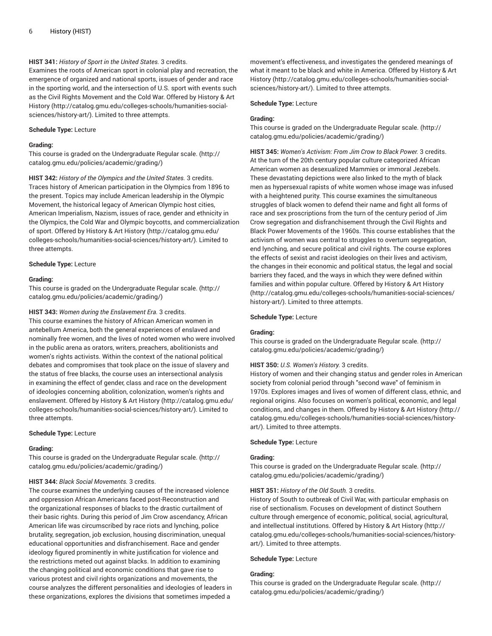# **HIST 341:** *History of Sport in the United States.* 3 credits.

Examines the roots of American sport in colonial play and recreation, the emergence of organized and national sports, issues of gender and race in the sporting world, and the intersection of U.S. sport with events such as the Civil Rights Movement and the Cold War. Offered by [History](http://catalog.gmu.edu/colleges-schools/humanities-social-sciences/history-art/) & Art [History](http://catalog.gmu.edu/colleges-schools/humanities-social-sciences/history-art/) ([http://catalog.gmu.edu/colleges-schools/humanities-social](http://catalog.gmu.edu/colleges-schools/humanities-social-sciences/history-art/)[sciences/history-art/](http://catalog.gmu.edu/colleges-schools/humanities-social-sciences/history-art/)). Limited to three attempts.

# **Schedule Type:** Lecture

# **Grading:**

This course is graded on the [Undergraduate](http://catalog.gmu.edu/policies/academic/grading/) Regular scale. ([http://](http://catalog.gmu.edu/policies/academic/grading/) [catalog.gmu.edu/policies/academic/grading/\)](http://catalog.gmu.edu/policies/academic/grading/)

**HIST 342:** *History of the Olympics and the United States.* 3 credits. Traces history of American participation in the Olympics from 1896 to the present. Topics may include American leadership in the Olympic Movement, the historical legacy of American Olympic host cities, American Imperialism, Nazism, issues of race, gender and ethnicity in the Olympics, the Cold War and Olympic boycotts, and commercialization of sport. Offered by History & Art [History](http://catalog.gmu.edu/colleges-schools/humanities-social-sciences/history-art/) ([http://catalog.gmu.edu/](http://catalog.gmu.edu/colleges-schools/humanities-social-sciences/history-art/) [colleges-schools/humanities-social-sciences/history-art/](http://catalog.gmu.edu/colleges-schools/humanities-social-sciences/history-art/)). Limited to three attempts.

#### **Schedule Type:** Lecture

#### **Grading:**

This course is graded on the [Undergraduate](http://catalog.gmu.edu/policies/academic/grading/) Regular scale. ([http://](http://catalog.gmu.edu/policies/academic/grading/) [catalog.gmu.edu/policies/academic/grading/\)](http://catalog.gmu.edu/policies/academic/grading/)

#### **HIST 343:** *Women during the Enslavement Era.* 3 credits.

This course examines the history of African American women in antebellum America, both the general experiences of enslaved and nominally free women, and the lives of noted women who were involved in the public arena as orators, writers, preachers, abolitionists and women's rights activists. Within the context of the national political debates and compromises that took place on the issue of slavery and the status of free blacks, the course uses an intersectional analysis in examining the effect of gender, class and race on the development of ideologies concerning abolition, colonization, women's rights and enslavement. Offered by History & Art [History \(http://catalog.gmu.edu/](http://catalog.gmu.edu/colleges-schools/humanities-social-sciences/history-art/) [colleges-schools/humanities-social-sciences/history-art/](http://catalog.gmu.edu/colleges-schools/humanities-social-sciences/history-art/)). Limited to three attempts.

#### **Schedule Type:** Lecture

#### **Grading:**

This course is graded on the [Undergraduate](http://catalog.gmu.edu/policies/academic/grading/) Regular scale. ([http://](http://catalog.gmu.edu/policies/academic/grading/) [catalog.gmu.edu/policies/academic/grading/\)](http://catalog.gmu.edu/policies/academic/grading/)

# **HIST 344:** *Black Social Movements.* 3 credits.

The course examines the underlying causes of the increased violence and oppression African Americans faced post-Reconstruction and the organizational responses of blacks to the drastic curtailment of their basic rights. During this period of Jim Crow ascendancy, African American life was circumscribed by race riots and lynching, police brutality, segregation, job exclusion, housing discrimination, unequal educational opportunities and disfranchisement. Race and gender ideology figured prominently in white justification for violence and the restrictions meted out against blacks. In addition to examining the changing political and economic conditions that gave rise to various protest and civil rights organizations and movements, the course analyzes the different personalities and ideologies of leaders in these organizations, explores the divisions that sometimes impeded a

movement's effectiveness, and investigates the gendered meanings of what it meant to be black and white in America. Offered by [History](http://catalog.gmu.edu/colleges-schools/humanities-social-sciences/history-art/) & Art [History](http://catalog.gmu.edu/colleges-schools/humanities-social-sciences/history-art/) [\(http://catalog.gmu.edu/colleges-schools/humanities-social](http://catalog.gmu.edu/colleges-schools/humanities-social-sciences/history-art/)[sciences/history-art/\)](http://catalog.gmu.edu/colleges-schools/humanities-social-sciences/history-art/). Limited to three attempts.

#### **Schedule Type:** Lecture

#### **Grading:**

This course is graded on the [Undergraduate](http://catalog.gmu.edu/policies/academic/grading/) Regular scale. ([http://](http://catalog.gmu.edu/policies/academic/grading/) [catalog.gmu.edu/policies/academic/grading/](http://catalog.gmu.edu/policies/academic/grading/))

**HIST 345:** *Women's Activism: From Jim Crow to Black Power.* 3 credits. At the turn of the 20th century popular culture categorized African American women as desexualized Mammies or immoral Jezebels. These devastating depictions were also linked to the myth of black men as hypersexual rapists of white women whose image was infused with a heightened purity. This course examines the simultaneous struggles of black women to defend their name and fight all forms of race and sex proscriptions from the turn of the century period of Jim Crow segregation and disfranchisement through the Civil Rights and Black Power Movements of the 1960s. This course establishes that the activism of women was central to struggles to overturn segregation, end lynching, and secure political and civil rights. The course explores the effects of sexist and racist ideologies on their lives and activism, the changes in their economic and political status, the legal and social barriers they faced, and the ways in which they were defined within families and within popular culture. Offered by [History](http://catalog.gmu.edu/colleges-schools/humanities-social-sciences/history-art/) & Art History [\(http://catalog.gmu.edu/colleges-schools/humanities-social-sciences/](http://catalog.gmu.edu/colleges-schools/humanities-social-sciences/history-art/) [history-art/\)](http://catalog.gmu.edu/colleges-schools/humanities-social-sciences/history-art/). Limited to three attempts.

# **Schedule Type:** Lecture

#### **Grading:**

This course is graded on the [Undergraduate](http://catalog.gmu.edu/policies/academic/grading/) Regular scale. ([http://](http://catalog.gmu.edu/policies/academic/grading/) [catalog.gmu.edu/policies/academic/grading/](http://catalog.gmu.edu/policies/academic/grading/))

# **HIST 350:** *U.S. Women's History.* 3 credits.

History of women and their changing status and gender roles in American society from colonial period through "second wave" of feminism in 1970s. Explores images and lives of women of different class, ethnic, and regional origins. Also focuses on women's political, economic, and legal conditions, and changes in them. Offered by History & Art [History](http://catalog.gmu.edu/colleges-schools/humanities-social-sciences/history-art/) ([http://](http://catalog.gmu.edu/colleges-schools/humanities-social-sciences/history-art/) [catalog.gmu.edu/colleges-schools/humanities-social-sciences/history](http://catalog.gmu.edu/colleges-schools/humanities-social-sciences/history-art/)[art/\)](http://catalog.gmu.edu/colleges-schools/humanities-social-sciences/history-art/). Limited to three attempts.

#### **Schedule Type:** Lecture

#### **Grading:**

This course is graded on the [Undergraduate](http://catalog.gmu.edu/policies/academic/grading/) Regular scale. ([http://](http://catalog.gmu.edu/policies/academic/grading/) [catalog.gmu.edu/policies/academic/grading/](http://catalog.gmu.edu/policies/academic/grading/))

# **HIST 351:** *History of the Old South.* 3 credits.

History of South to outbreak of Civil War, with particular emphasis on rise of sectionalism. Focuses on development of distinct Southern culture through emergence of economic, political, social, agricultural, and intellectual institutions. Offered by History & Art [History](http://catalog.gmu.edu/colleges-schools/humanities-social-sciences/history-art/) ([http://](http://catalog.gmu.edu/colleges-schools/humanities-social-sciences/history-art/) [catalog.gmu.edu/colleges-schools/humanities-social-sciences/history](http://catalog.gmu.edu/colleges-schools/humanities-social-sciences/history-art/)[art/\)](http://catalog.gmu.edu/colleges-schools/humanities-social-sciences/history-art/). Limited to three attempts.

#### **Schedule Type:** Lecture

# **Grading:**

This course is graded on the [Undergraduate](http://catalog.gmu.edu/policies/academic/grading/) Regular scale. ([http://](http://catalog.gmu.edu/policies/academic/grading/) [catalog.gmu.edu/policies/academic/grading/](http://catalog.gmu.edu/policies/academic/grading/))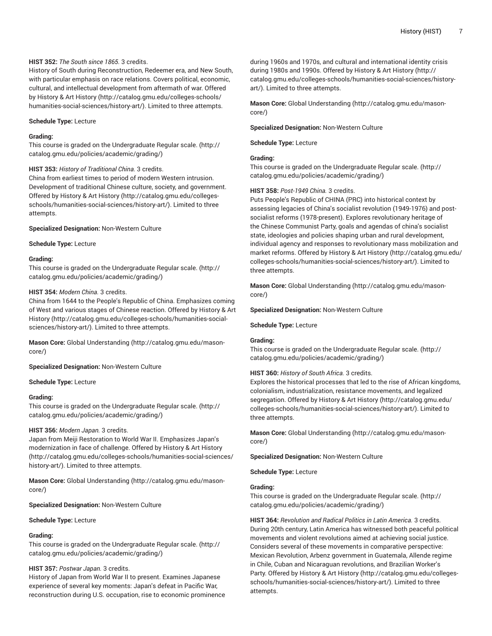# **HIST 352:** *The South since 1865.* 3 credits.

History of South during Reconstruction, Redeemer era, and New South, with particular emphasis on race relations. Covers political, economic, cultural, and intellectual development from aftermath of war. Offered by History & Art [History](http://catalog.gmu.edu/colleges-schools/humanities-social-sciences/history-art/) ([http://catalog.gmu.edu/colleges-schools/](http://catalog.gmu.edu/colleges-schools/humanities-social-sciences/history-art/) [humanities-social-sciences/history-art/](http://catalog.gmu.edu/colleges-schools/humanities-social-sciences/history-art/)). Limited to three attempts.

# **Schedule Type:** Lecture

# **Grading:**

This course is graded on the [Undergraduate](http://catalog.gmu.edu/policies/academic/grading/) Regular scale. ([http://](http://catalog.gmu.edu/policies/academic/grading/) [catalog.gmu.edu/policies/academic/grading/\)](http://catalog.gmu.edu/policies/academic/grading/)

#### **HIST 353:** *History of Traditional China.* 3 credits.

China from earliest times to period of modern Western intrusion. Development of traditional Chinese culture, society, and government. Offered by History & Art [History \(http://catalog.gmu.edu/colleges](http://catalog.gmu.edu/colleges-schools/humanities-social-sciences/history-art/)[schools/humanities-social-sciences/history-art/\)](http://catalog.gmu.edu/colleges-schools/humanities-social-sciences/history-art/). Limited to three attempts.

**Specialized Designation:** Non-Western Culture

#### **Schedule Type:** Lecture

#### **Grading:**

This course is graded on the [Undergraduate](http://catalog.gmu.edu/policies/academic/grading/) Regular scale. ([http://](http://catalog.gmu.edu/policies/academic/grading/) [catalog.gmu.edu/policies/academic/grading/\)](http://catalog.gmu.edu/policies/academic/grading/)

#### **HIST 354:** *Modern China.* 3 credits.

China from 1644 to the People's Republic of China. Emphasizes coming of West and various stages of Chinese reaction. Offered by [History](http://catalog.gmu.edu/colleges-schools/humanities-social-sciences/history-art/) & Art [History](http://catalog.gmu.edu/colleges-schools/humanities-social-sciences/history-art/) ([http://catalog.gmu.edu/colleges-schools/humanities-social](http://catalog.gmu.edu/colleges-schools/humanities-social-sciences/history-art/)[sciences/history-art/](http://catalog.gmu.edu/colleges-schools/humanities-social-sciences/history-art/)). Limited to three attempts.

**Mason Core:** [Global Understanding](http://catalog.gmu.edu/mason-core/) ([http://catalog.gmu.edu/mason](http://catalog.gmu.edu/mason-core/)[core/\)](http://catalog.gmu.edu/mason-core/)

# **Specialized Designation:** Non-Western Culture

#### **Schedule Type:** Lecture

#### **Grading:**

This course is graded on the [Undergraduate](http://catalog.gmu.edu/policies/academic/grading/) Regular scale. ([http://](http://catalog.gmu.edu/policies/academic/grading/) [catalog.gmu.edu/policies/academic/grading/\)](http://catalog.gmu.edu/policies/academic/grading/)

#### **HIST 356:** *Modern Japan.* 3 credits.

Japan from Meiji Restoration to World War II. Emphasizes Japan's modernization in face of challenge. Offered by [History](http://catalog.gmu.edu/colleges-schools/humanities-social-sciences/history-art/) & Art History ([http://catalog.gmu.edu/colleges-schools/humanities-social-sciences/](http://catalog.gmu.edu/colleges-schools/humanities-social-sciences/history-art/) [history-art/](http://catalog.gmu.edu/colleges-schools/humanities-social-sciences/history-art/)). Limited to three attempts.

**Mason Core:** [Global Understanding](http://catalog.gmu.edu/mason-core/) ([http://catalog.gmu.edu/mason](http://catalog.gmu.edu/mason-core/)[core/\)](http://catalog.gmu.edu/mason-core/)

**Specialized Designation:** Non-Western Culture

**Schedule Type:** Lecture

# **Grading:**

This course is graded on the [Undergraduate](http://catalog.gmu.edu/policies/academic/grading/) Regular scale. ([http://](http://catalog.gmu.edu/policies/academic/grading/) [catalog.gmu.edu/policies/academic/grading/\)](http://catalog.gmu.edu/policies/academic/grading/)

# **HIST 357:** *Postwar Japan.* 3 credits.

History of Japan from World War II to present. Examines Japanese experience of several key moments: Japan's defeat in Pacific War, reconstruction during U.S. occupation, rise to economic prominence

during 1960s and 1970s, and cultural and international identity crisis during 1980s and 1990s. Offered by History & Art [History](http://catalog.gmu.edu/colleges-schools/humanities-social-sciences/history-art/) ([http://](http://catalog.gmu.edu/colleges-schools/humanities-social-sciences/history-art/) [catalog.gmu.edu/colleges-schools/humanities-social-sciences/history](http://catalog.gmu.edu/colleges-schools/humanities-social-sciences/history-art/)[art/\)](http://catalog.gmu.edu/colleges-schools/humanities-social-sciences/history-art/). Limited to three attempts.

**Mason Core:** [Global Understanding \(http://catalog.gmu.edu/mason](http://catalog.gmu.edu/mason-core/)[core/](http://catalog.gmu.edu/mason-core/))

# **Specialized Designation:** Non-Western Culture

**Schedule Type:** Lecture

# **Grading:**

This course is graded on the [Undergraduate](http://catalog.gmu.edu/policies/academic/grading/) Regular scale. ([http://](http://catalog.gmu.edu/policies/academic/grading/) [catalog.gmu.edu/policies/academic/grading/](http://catalog.gmu.edu/policies/academic/grading/))

# **HIST 358:** *Post-1949 China.* 3 credits.

Puts People's Republic of CHINA (PRC) into historical context by assessing legacies of China's socialist revolution (1949-1976) and postsocialist reforms (1978-present). Explores revolutionary heritage of the Chinese Communist Party, goals and agendas of china's socialist state, ideologies and policies shaping urban and rural development, individual agency and responses to revolutionary mass mobilization and market reforms. Offered by [History](http://catalog.gmu.edu/colleges-schools/humanities-social-sciences/history-art/) & Art History [\(http://catalog.gmu.edu/](http://catalog.gmu.edu/colleges-schools/humanities-social-sciences/history-art/) [colleges-schools/humanities-social-sciences/history-art/](http://catalog.gmu.edu/colleges-schools/humanities-social-sciences/history-art/)). Limited to three attempts.

**Mason Core:** [Global Understanding \(http://catalog.gmu.edu/mason](http://catalog.gmu.edu/mason-core/)[core/](http://catalog.gmu.edu/mason-core/))

#### **Specialized Designation:** Non-Western Culture

#### **Schedule Type:** Lecture

#### **Grading:**

This course is graded on the [Undergraduate](http://catalog.gmu.edu/policies/academic/grading/) Regular scale. ([http://](http://catalog.gmu.edu/policies/academic/grading/) [catalog.gmu.edu/policies/academic/grading/](http://catalog.gmu.edu/policies/academic/grading/))

# **HIST 360:** *History of South Africa.* 3 credits.

Explores the historical processes that led to the rise of African kingdoms, colonialism, industrialization, resistance movements, and legalized segregation. Offered by History & Art [History \(http://catalog.gmu.edu/](http://catalog.gmu.edu/colleges-schools/humanities-social-sciences/history-art/) [colleges-schools/humanities-social-sciences/history-art/](http://catalog.gmu.edu/colleges-schools/humanities-social-sciences/history-art/)). Limited to three attempts.

**Mason Core:** [Global Understanding \(http://catalog.gmu.edu/mason](http://catalog.gmu.edu/mason-core/)[core/](http://catalog.gmu.edu/mason-core/))

**Specialized Designation:** Non-Western Culture

**Schedule Type:** Lecture

# **Grading:**

This course is graded on the [Undergraduate](http://catalog.gmu.edu/policies/academic/grading/) Regular scale. ([http://](http://catalog.gmu.edu/policies/academic/grading/) [catalog.gmu.edu/policies/academic/grading/](http://catalog.gmu.edu/policies/academic/grading/))

**HIST 364:** *Revolution and Radical Politics in Latin America.* 3 credits. During 20th century, Latin America has witnessed both peaceful political movements and violent revolutions aimed at achieving social justice. Considers several of these movements in comparative perspective: Mexican Revolution, Arbenz government in Guatemala, Allende regime in Chile, Cuban and Nicaraguan revolutions, and Brazilian Worker's Party. Offered by History & Art [History \(http://catalog.gmu.edu/colleges](http://catalog.gmu.edu/colleges-schools/humanities-social-sciences/history-art/)[schools/humanities-social-sciences/history-art/](http://catalog.gmu.edu/colleges-schools/humanities-social-sciences/history-art/)). Limited to three attempts.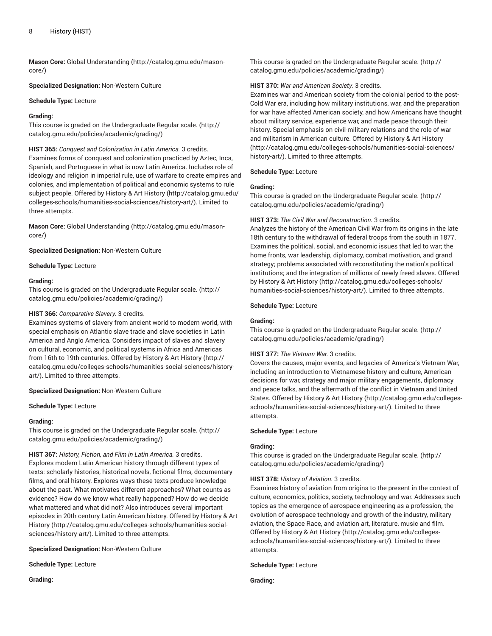**Mason Core:** [Global Understanding](http://catalog.gmu.edu/mason-core/) ([http://catalog.gmu.edu/mason](http://catalog.gmu.edu/mason-core/)[core/\)](http://catalog.gmu.edu/mason-core/)

**Specialized Designation:** Non-Western Culture

**Schedule Type:** Lecture

# **Grading:**

This course is graded on the [Undergraduate](http://catalog.gmu.edu/policies/academic/grading/) Regular scale. ([http://](http://catalog.gmu.edu/policies/academic/grading/) [catalog.gmu.edu/policies/academic/grading/\)](http://catalog.gmu.edu/policies/academic/grading/)

**HIST 365:** *Conquest and Colonization in Latin America.* 3 credits. Examines forms of conquest and colonization practiced by Aztec, Inca, Spanish, and Portuguese in what is now Latin America. Includes role of ideology and religion in imperial rule, use of warfare to create empires and colonies, and implementation of political and economic systems to rule subject people. Offered by [History](http://catalog.gmu.edu/colleges-schools/humanities-social-sciences/history-art/) & Art History [\(http://catalog.gmu.edu/](http://catalog.gmu.edu/colleges-schools/humanities-social-sciences/history-art/) [colleges-schools/humanities-social-sciences/history-art/](http://catalog.gmu.edu/colleges-schools/humanities-social-sciences/history-art/)). Limited to three attempts.

**Mason Core:** [Global Understanding](http://catalog.gmu.edu/mason-core/) ([http://catalog.gmu.edu/mason](http://catalog.gmu.edu/mason-core/)[core/\)](http://catalog.gmu.edu/mason-core/)

**Specialized Designation:** Non-Western Culture

**Schedule Type:** Lecture

#### **Grading:**

This course is graded on the [Undergraduate](http://catalog.gmu.edu/policies/academic/grading/) Regular scale. ([http://](http://catalog.gmu.edu/policies/academic/grading/) [catalog.gmu.edu/policies/academic/grading/\)](http://catalog.gmu.edu/policies/academic/grading/)

# **HIST 366:** *Comparative Slavery.* 3 credits.

Examines systems of slavery from ancient world to modern world, with special emphasis on Atlantic slave trade and slave societies in Latin America and Anglo America. Considers impact of slaves and slavery on cultural, economic, and political systems in Africa and Americas from 16th to 19th centuries. Offered by [History](http://catalog.gmu.edu/colleges-schools/humanities-social-sciences/history-art/) & Art History ([http://](http://catalog.gmu.edu/colleges-schools/humanities-social-sciences/history-art/) [catalog.gmu.edu/colleges-schools/humanities-social-sciences/history](http://catalog.gmu.edu/colleges-schools/humanities-social-sciences/history-art/)[art/](http://catalog.gmu.edu/colleges-schools/humanities-social-sciences/history-art/)). Limited to three attempts.

#### **Specialized Designation:** Non-Western Culture

**Schedule Type:** Lecture

#### **Grading:**

This course is graded on the [Undergraduate](http://catalog.gmu.edu/policies/academic/grading/) Regular scale. ([http://](http://catalog.gmu.edu/policies/academic/grading/) [catalog.gmu.edu/policies/academic/grading/\)](http://catalog.gmu.edu/policies/academic/grading/)

**HIST 367:** *History, Fiction, and Film in Latin America.* 3 credits. Explores modern Latin American history through different types of texts: scholarly histories, historical novels, fictional films, documentary films, and oral history. Explores ways these texts produce knowledge about the past. What motivates different approaches? What counts as evidence? How do we know what really happened? How do we decide what mattered and what did not? Also introduces several important episodes in 20th century Latin American history. Offered by [History](http://catalog.gmu.edu/colleges-schools/humanities-social-sciences/history-art/) & Art [History](http://catalog.gmu.edu/colleges-schools/humanities-social-sciences/history-art/) ([http://catalog.gmu.edu/colleges-schools/humanities-social](http://catalog.gmu.edu/colleges-schools/humanities-social-sciences/history-art/)[sciences/history-art/](http://catalog.gmu.edu/colleges-schools/humanities-social-sciences/history-art/)). Limited to three attempts.

**Specialized Designation:** Non-Western Culture

**Schedule Type:** Lecture

**Grading:**

This course is graded on the [Undergraduate](http://catalog.gmu.edu/policies/academic/grading/) Regular scale. ([http://](http://catalog.gmu.edu/policies/academic/grading/) [catalog.gmu.edu/policies/academic/grading/](http://catalog.gmu.edu/policies/academic/grading/))

# **HIST 370:** *War and American Society.* 3 credits.

Examines war and American society from the colonial period to the post-Cold War era, including how military institutions, war, and the preparation for war have affected American society, and how Americans have thought about military service, experience war, and made peace through their history. Special emphasis on civil-military relations and the role of war and militarism in American culture. Offered by History & Art [History](http://catalog.gmu.edu/colleges-schools/humanities-social-sciences/history-art/) [\(http://catalog.gmu.edu/colleges-schools/humanities-social-sciences/](http://catalog.gmu.edu/colleges-schools/humanities-social-sciences/history-art/) [history-art/\)](http://catalog.gmu.edu/colleges-schools/humanities-social-sciences/history-art/). Limited to three attempts.

# **Schedule Type:** Lecture

# **Grading:**

This course is graded on the [Undergraduate](http://catalog.gmu.edu/policies/academic/grading/) Regular scale. ([http://](http://catalog.gmu.edu/policies/academic/grading/) [catalog.gmu.edu/policies/academic/grading/](http://catalog.gmu.edu/policies/academic/grading/))

#### **HIST 373:** *The Civil War and Reconstruction.* 3 credits.

Analyzes the history of the American Civil War from its origins in the late 18th century to the withdrawal of federal troops from the south in 1877. Examines the political, social, and economic issues that led to war; the home fronts, war leadership, diplomacy, combat motivation, and grand strategy; problems associated with reconstituting the nation's political institutions; and the integration of millions of newly freed slaves. Offered by History & Art [History \(http://catalog.gmu.edu/colleges-schools/](http://catalog.gmu.edu/colleges-schools/humanities-social-sciences/history-art/) [humanities-social-sciences/history-art/\)](http://catalog.gmu.edu/colleges-schools/humanities-social-sciences/history-art/). Limited to three attempts.

#### **Schedule Type:** Lecture

# **Grading:**

This course is graded on the [Undergraduate](http://catalog.gmu.edu/policies/academic/grading/) Regular scale. ([http://](http://catalog.gmu.edu/policies/academic/grading/) [catalog.gmu.edu/policies/academic/grading/](http://catalog.gmu.edu/policies/academic/grading/))

# **HIST 377:** *The Vietnam War.* 3 credits.

Covers the causes, major events, and legacies of America's Vietnam War, including an introduction to Vietnamese history and culture, American decisions for war, strategy and major military engagements, diplomacy and peace talks, and the aftermath of the conflict in Vietnam and United States. Offered by History & Art [History \(http://catalog.gmu.edu/colleges](http://catalog.gmu.edu/colleges-schools/humanities-social-sciences/history-art/)[schools/humanities-social-sciences/history-art/](http://catalog.gmu.edu/colleges-schools/humanities-social-sciences/history-art/)). Limited to three attempts.

#### **Schedule Type:** Lecture

#### **Grading:**

This course is graded on the [Undergraduate](http://catalog.gmu.edu/policies/academic/grading/) Regular scale. ([http://](http://catalog.gmu.edu/policies/academic/grading/) [catalog.gmu.edu/policies/academic/grading/](http://catalog.gmu.edu/policies/academic/grading/))

# **HIST 378:** *History of Aviation.* 3 credits.

Examines history of aviation from origins to the present in the context of culture, economics, politics, society, technology and war. Addresses such topics as the emergence of aerospace engineering as a profession, the evolution of aerospace technology and growth of the industry, military aviation, the Space Race, and aviation art, literature, music and film. Offered by [History](http://catalog.gmu.edu/colleges-schools/humanities-social-sciences/history-art/) & Art History ([http://catalog.gmu.edu/colleges](http://catalog.gmu.edu/colleges-schools/humanities-social-sciences/history-art/)[schools/humanities-social-sciences/history-art/](http://catalog.gmu.edu/colleges-schools/humanities-social-sciences/history-art/)). Limited to three attempts.

**Schedule Type:** Lecture

**Grading:**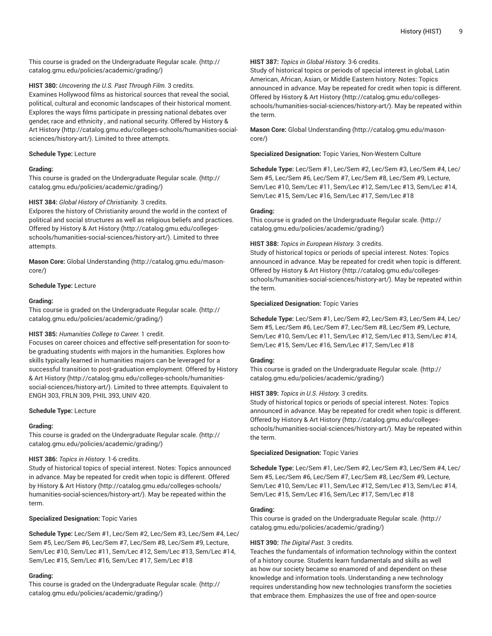This course is graded on the [Undergraduate](http://catalog.gmu.edu/policies/academic/grading/) Regular scale. ([http://](http://catalog.gmu.edu/policies/academic/grading/) [catalog.gmu.edu/policies/academic/grading/\)](http://catalog.gmu.edu/policies/academic/grading/)

**HIST 380:** *Uncovering the U.S. Past Through Film.* 3 credits. Examines Hollywood films as historical sources that reveal the social, political, cultural and economic landscapes of their historical moment. Explores the ways films participate in pressing national debates over gender, race and ethnicity , and national security. Offered by [History](http://catalog.gmu.edu/colleges-schools/humanities-social-sciences/history-art/) & Art [History \(http://catalog.gmu.edu/colleges-schools/humanities-social](http://catalog.gmu.edu/colleges-schools/humanities-social-sciences/history-art/)[sciences/history-art/](http://catalog.gmu.edu/colleges-schools/humanities-social-sciences/history-art/)). Limited to three attempts.

# **Schedule Type:** Lecture

# **Grading:**

This course is graded on the [Undergraduate](http://catalog.gmu.edu/policies/academic/grading/) Regular scale. ([http://](http://catalog.gmu.edu/policies/academic/grading/) [catalog.gmu.edu/policies/academic/grading/\)](http://catalog.gmu.edu/policies/academic/grading/)

# **HIST 384:** *Global History of Christianity.* 3 credits.

Exlpores the history of Christianity around the world in the context of political and social structures as well as religious beliefs and practices. Offered by History & Art [History \(http://catalog.gmu.edu/colleges](http://catalog.gmu.edu/colleges-schools/humanities-social-sciences/history-art/)[schools/humanities-social-sciences/history-art/\)](http://catalog.gmu.edu/colleges-schools/humanities-social-sciences/history-art/). Limited to three attempts.

**Mason Core:** [Global Understanding](http://catalog.gmu.edu/mason-core/) ([http://catalog.gmu.edu/mason](http://catalog.gmu.edu/mason-core/)[core/\)](http://catalog.gmu.edu/mason-core/)

# **Schedule Type:** Lecture

# **Grading:**

This course is graded on the [Undergraduate](http://catalog.gmu.edu/policies/academic/grading/) Regular scale. ([http://](http://catalog.gmu.edu/policies/academic/grading/) [catalog.gmu.edu/policies/academic/grading/\)](http://catalog.gmu.edu/policies/academic/grading/)

# **HIST 385:** *Humanities College to Career.* 1 credit.

Focuses on career choices and effective self-presentation for soon-tobe graduating students with majors in the humanities. Explores how skills typically learned in humanities majors can be leveraged for a successful transition to post-graduation employment. Offered by [History](http://catalog.gmu.edu/colleges-schools/humanities-social-sciences/history-art/) & Art [History \(http://catalog.gmu.edu/colleges-schools/humanities](http://catalog.gmu.edu/colleges-schools/humanities-social-sciences/history-art/)[social-sciences/history-art/](http://catalog.gmu.edu/colleges-schools/humanities-social-sciences/history-art/)). Limited to three attempts. Equivalent to ENGH 303, FRLN 309, PHIL 393, UNIV 420.

# **Schedule Type:** Lecture

# **Grading:**

This course is graded on the [Undergraduate](http://catalog.gmu.edu/policies/academic/grading/) Regular scale. ([http://](http://catalog.gmu.edu/policies/academic/grading/) [catalog.gmu.edu/policies/academic/grading/\)](http://catalog.gmu.edu/policies/academic/grading/)

# **HIST 386:** *Topics in History.* 1-6 credits.

Study of historical topics of special interest. Notes: Topics announced in advance. May be repeated for credit when topic is different. Offered by History & Art [History](http://catalog.gmu.edu/colleges-schools/humanities-social-sciences/history-art/) ([http://catalog.gmu.edu/colleges-schools/](http://catalog.gmu.edu/colleges-schools/humanities-social-sciences/history-art/) [humanities-social-sciences/history-art/](http://catalog.gmu.edu/colleges-schools/humanities-social-sciences/history-art/)). May be repeated within the term.

# **Specialized Designation:** Topic Varies

**Schedule Type:** Lec/Sem #1, Lec/Sem #2, Lec/Sem #3, Lec/Sem #4, Lec/ Sem #5, Lec/Sem #6, Lec/Sem #7, Lec/Sem #8, Lec/Sem #9, Lecture, Sem/Lec #10, Sem/Lec #11, Sem/Lec #12, Sem/Lec #13, Sem/Lec #14, Sem/Lec #15, Sem/Lec #16, Sem/Lec #17, Sem/Lec #18

# **Grading:**

This course is graded on the [Undergraduate](http://catalog.gmu.edu/policies/academic/grading/) Regular scale. ([http://](http://catalog.gmu.edu/policies/academic/grading/) [catalog.gmu.edu/policies/academic/grading/\)](http://catalog.gmu.edu/policies/academic/grading/)

# **HIST 387:** *Topics in Global History.* 3-6 credits.

Study of historical topics or periods of special interest in global, Latin American, African, Asian, or Middle Eastern history. Notes: Topics announced in advance. May be repeated for credit when topic is different. Offered by [History](http://catalog.gmu.edu/colleges-schools/humanities-social-sciences/history-art/) & Art History ([http://catalog.gmu.edu/colleges](http://catalog.gmu.edu/colleges-schools/humanities-social-sciences/history-art/)[schools/humanities-social-sciences/history-art/](http://catalog.gmu.edu/colleges-schools/humanities-social-sciences/history-art/)). May be repeated within the term.

**Mason Core:** [Global Understanding \(http://catalog.gmu.edu/mason](http://catalog.gmu.edu/mason-core/)[core/](http://catalog.gmu.edu/mason-core/))

**Specialized Designation:** Topic Varies, Non-Western Culture

**Schedule Type:** Lec/Sem #1, Lec/Sem #2, Lec/Sem #3, Lec/Sem #4, Lec/ Sem #5, Lec/Sem #6, Lec/Sem #7, Lec/Sem #8, Lec/Sem #9, Lecture, Sem/Lec #10, Sem/Lec #11, Sem/Lec #12, Sem/Lec #13, Sem/Lec #14, Sem/Lec #15, Sem/Lec #16, Sem/Lec #17, Sem/Lec #18

# **Grading:**

This course is graded on the [Undergraduate](http://catalog.gmu.edu/policies/academic/grading/) Regular scale. ([http://](http://catalog.gmu.edu/policies/academic/grading/) [catalog.gmu.edu/policies/academic/grading/](http://catalog.gmu.edu/policies/academic/grading/))

# **HIST 388:** *Topics in European History.* 3 credits.

Study of historical topics or periods of special interest. Notes: Topics announced in advance. May be repeated for credit when topic is different. Offered by [History](http://catalog.gmu.edu/colleges-schools/humanities-social-sciences/history-art/) & Art History ([http://catalog.gmu.edu/colleges](http://catalog.gmu.edu/colleges-schools/humanities-social-sciences/history-art/)[schools/humanities-social-sciences/history-art/](http://catalog.gmu.edu/colleges-schools/humanities-social-sciences/history-art/)). May be repeated within the term.

# **Specialized Designation:** Topic Varies

**Schedule Type:** Lec/Sem #1, Lec/Sem #2, Lec/Sem #3, Lec/Sem #4, Lec/ Sem #5, Lec/Sem #6, Lec/Sem #7, Lec/Sem #8, Lec/Sem #9, Lecture, Sem/Lec #10, Sem/Lec #11, Sem/Lec #12, Sem/Lec #13, Sem/Lec #14, Sem/Lec #15, Sem/Lec #16, Sem/Lec #17, Sem/Lec #18

# **Grading:**

This course is graded on the [Undergraduate](http://catalog.gmu.edu/policies/academic/grading/) Regular scale. ([http://](http://catalog.gmu.edu/policies/academic/grading/) [catalog.gmu.edu/policies/academic/grading/](http://catalog.gmu.edu/policies/academic/grading/))

# **HIST 389:** *Topics in U.S. History.* 3 credits.

Study of historical topics or periods of special interest. Notes: Topics announced in advance. May be repeated for credit when topic is different. Offered by [History](http://catalog.gmu.edu/colleges-schools/humanities-social-sciences/history-art/) & Art History ([http://catalog.gmu.edu/colleges](http://catalog.gmu.edu/colleges-schools/humanities-social-sciences/history-art/)[schools/humanities-social-sciences/history-art/](http://catalog.gmu.edu/colleges-schools/humanities-social-sciences/history-art/)). May be repeated within the term.

# **Specialized Designation:** Topic Varies

**Schedule Type:** Lec/Sem #1, Lec/Sem #2, Lec/Sem #3, Lec/Sem #4, Lec/ Sem #5, Lec/Sem #6, Lec/Sem #7, Lec/Sem #8, Lec/Sem #9, Lecture, Sem/Lec #10, Sem/Lec #11, Sem/Lec #12, Sem/Lec #13, Sem/Lec #14, Sem/Lec #15, Sem/Lec #16, Sem/Lec #17, Sem/Lec #18

# **Grading:**

This course is graded on the [Undergraduate](http://catalog.gmu.edu/policies/academic/grading/) Regular scale. ([http://](http://catalog.gmu.edu/policies/academic/grading/) [catalog.gmu.edu/policies/academic/grading/](http://catalog.gmu.edu/policies/academic/grading/))

# **HIST 390:** *The Digital Past.* 3 credits.

Teaches the fundamentals of information technology within the context of a history course. Students learn fundamentals and skills as well as how our society became so enamored of and dependent on these knowledge and information tools. Understanding a new technology requires understanding how new technologies transform the societies that embrace them. Emphasizes the use of free and open-source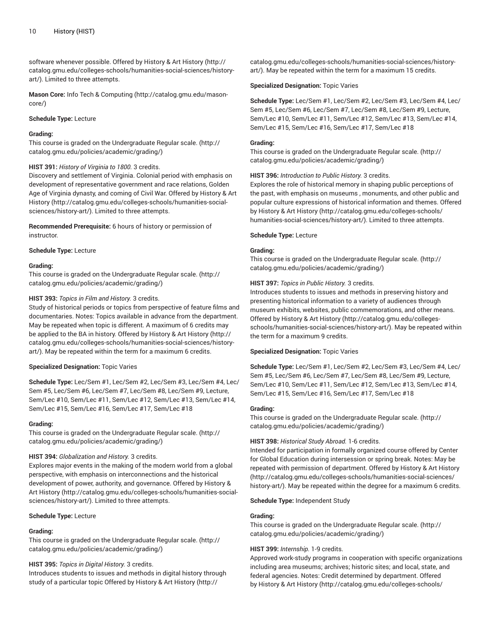software whenever possible. Offered by [History](http://catalog.gmu.edu/colleges-schools/humanities-social-sciences/history-art/) & Art History ([http://](http://catalog.gmu.edu/colleges-schools/humanities-social-sciences/history-art/) [catalog.gmu.edu/colleges-schools/humanities-social-sciences/history](http://catalog.gmu.edu/colleges-schools/humanities-social-sciences/history-art/)[art/](http://catalog.gmu.edu/colleges-schools/humanities-social-sciences/history-art/)). Limited to three attempts.

**Mason Core:** Info Tech & [Computing](http://catalog.gmu.edu/mason-core/) ([http://catalog.gmu.edu/mason](http://catalog.gmu.edu/mason-core/)[core/\)](http://catalog.gmu.edu/mason-core/)

#### **Schedule Type:** Lecture

# **Grading:**

This course is graded on the [Undergraduate](http://catalog.gmu.edu/policies/academic/grading/) Regular scale. ([http://](http://catalog.gmu.edu/policies/academic/grading/) [catalog.gmu.edu/policies/academic/grading/\)](http://catalog.gmu.edu/policies/academic/grading/)

#### **HIST 391:** *History of Virginia to 1800.* 3 credits.

Discovery and settlement of Virginia. Colonial period with emphasis on development of representative government and race relations, Golden Age of Virginia dynasty, and coming of Civil War. Offered by [History](http://catalog.gmu.edu/colleges-schools/humanities-social-sciences/history-art/) & Art [History](http://catalog.gmu.edu/colleges-schools/humanities-social-sciences/history-art/) ([http://catalog.gmu.edu/colleges-schools/humanities-social](http://catalog.gmu.edu/colleges-schools/humanities-social-sciences/history-art/)[sciences/history-art/](http://catalog.gmu.edu/colleges-schools/humanities-social-sciences/history-art/)). Limited to three attempts.

**Recommended Prerequisite:** 6 hours of history or permission of instructor.

**Schedule Type:** Lecture

#### **Grading:**

This course is graded on the [Undergraduate](http://catalog.gmu.edu/policies/academic/grading/) Regular scale. ([http://](http://catalog.gmu.edu/policies/academic/grading/) [catalog.gmu.edu/policies/academic/grading/\)](http://catalog.gmu.edu/policies/academic/grading/)

#### **HIST 393:** *Topics in Film and History.* 3 credits.

Study of historical periods or topics from perspective of feature films and documentaries. Notes: Topics available in advance from the department. May be repeated when topic is different. A maximum of 6 credits may be applied to the BA in history. Offered by History & Art [History \(http://](http://catalog.gmu.edu/colleges-schools/humanities-social-sciences/history-art/) [catalog.gmu.edu/colleges-schools/humanities-social-sciences/history](http://catalog.gmu.edu/colleges-schools/humanities-social-sciences/history-art/)[art/](http://catalog.gmu.edu/colleges-schools/humanities-social-sciences/history-art/)). May be repeated within the term for a maximum 6 credits.

# **Specialized Designation:** Topic Varies

**Schedule Type:** Lec/Sem #1, Lec/Sem #2, Lec/Sem #3, Lec/Sem #4, Lec/ Sem #5, Lec/Sem #6, Lec/Sem #7, Lec/Sem #8, Lec/Sem #9, Lecture, Sem/Lec #10, Sem/Lec #11, Sem/Lec #12, Sem/Lec #13, Sem/Lec #14, Sem/Lec #15, Sem/Lec #16, Sem/Lec #17, Sem/Lec #18

#### **Grading:**

This course is graded on the [Undergraduate](http://catalog.gmu.edu/policies/academic/grading/) Regular scale. ([http://](http://catalog.gmu.edu/policies/academic/grading/) [catalog.gmu.edu/policies/academic/grading/\)](http://catalog.gmu.edu/policies/academic/grading/)

#### **HIST 394:** *Globalization and History.* 3 credits.

Explores major events in the making of the modern world from a global perspective, with emphasis on interconnections and the historical development of power, authority, and governance. Offered by [History](http://catalog.gmu.edu/colleges-schools/humanities-social-sciences/history-art/) & Art [History \(http://catalog.gmu.edu/colleges-schools/humanities-social](http://catalog.gmu.edu/colleges-schools/humanities-social-sciences/history-art/)[sciences/history-art/](http://catalog.gmu.edu/colleges-schools/humanities-social-sciences/history-art/)). Limited to three attempts.

#### **Schedule Type:** Lecture

# **Grading:**

This course is graded on the [Undergraduate](http://catalog.gmu.edu/policies/academic/grading/) Regular scale. ([http://](http://catalog.gmu.edu/policies/academic/grading/) [catalog.gmu.edu/policies/academic/grading/\)](http://catalog.gmu.edu/policies/academic/grading/)

# **HIST 395:** *Topics in Digital History.* 3 credits.

Introduces students to issues and methods in digital history through study of a particular topic Offered by History & Art [History](http://catalog.gmu.edu/colleges-schools/humanities-social-sciences/history-art/) ([http://](http://catalog.gmu.edu/colleges-schools/humanities-social-sciences/history-art/)

[catalog.gmu.edu/colleges-schools/humanities-social-sciences/history](http://catalog.gmu.edu/colleges-schools/humanities-social-sciences/history-art/)[art/\)](http://catalog.gmu.edu/colleges-schools/humanities-social-sciences/history-art/). May be repeated within the term for a maximum 15 credits.

#### **Specialized Designation:** Topic Varies

**Schedule Type:** Lec/Sem #1, Lec/Sem #2, Lec/Sem #3, Lec/Sem #4, Lec/ Sem #5, Lec/Sem #6, Lec/Sem #7, Lec/Sem #8, Lec/Sem #9, Lecture, Sem/Lec #10, Sem/Lec #11, Sem/Lec #12, Sem/Lec #13, Sem/Lec #14, Sem/Lec #15, Sem/Lec #16, Sem/Lec #17, Sem/Lec #18

# **Grading:**

This course is graded on the [Undergraduate](http://catalog.gmu.edu/policies/academic/grading/) Regular scale. ([http://](http://catalog.gmu.edu/policies/academic/grading/) [catalog.gmu.edu/policies/academic/grading/](http://catalog.gmu.edu/policies/academic/grading/))

# **HIST 396:** *Introduction to Public History.* 3 credits.

Explores the role of historical memory in shaping public perceptions of the past, with emphasis on museums , monuments, and other public and popular culture expressions of historical information and themes. Offered by History & Art [History \(http://catalog.gmu.edu/colleges-schools/](http://catalog.gmu.edu/colleges-schools/humanities-social-sciences/history-art/) [humanities-social-sciences/history-art/\)](http://catalog.gmu.edu/colleges-schools/humanities-social-sciences/history-art/). Limited to three attempts.

# **Schedule Type:** Lecture

# **Grading:**

This course is graded on the [Undergraduate](http://catalog.gmu.edu/policies/academic/grading/) Regular scale. ([http://](http://catalog.gmu.edu/policies/academic/grading/) [catalog.gmu.edu/policies/academic/grading/](http://catalog.gmu.edu/policies/academic/grading/))

#### **HIST 397:** *Topics in Public History.* 3 credits.

Introduces students to issues and methods in preserving history and presenting historical information to a variety of audiences through museum exhibits, websites, public commemorations, and other means. Offered by [History](http://catalog.gmu.edu/colleges-schools/humanities-social-sciences/history-art/) & Art History ([http://catalog.gmu.edu/colleges](http://catalog.gmu.edu/colleges-schools/humanities-social-sciences/history-art/)[schools/humanities-social-sciences/history-art/](http://catalog.gmu.edu/colleges-schools/humanities-social-sciences/history-art/)). May be repeated within the term for a maximum 9 credits.

#### **Specialized Designation:** Topic Varies

**Schedule Type:** Lec/Sem #1, Lec/Sem #2, Lec/Sem #3, Lec/Sem #4, Lec/ Sem #5, Lec/Sem #6, Lec/Sem #7, Lec/Sem #8, Lec/Sem #9, Lecture, Sem/Lec #10, Sem/Lec #11, Sem/Lec #12, Sem/Lec #13, Sem/Lec #14, Sem/Lec #15, Sem/Lec #16, Sem/Lec #17, Sem/Lec #18

#### **Grading:**

This course is graded on the [Undergraduate](http://catalog.gmu.edu/policies/academic/grading/) Regular scale. ([http://](http://catalog.gmu.edu/policies/academic/grading/) [catalog.gmu.edu/policies/academic/grading/](http://catalog.gmu.edu/policies/academic/grading/))

#### **HIST 398:** *Historical Study Abroad.* 1-6 credits.

Intended for participation in formally organized course offered by Center for Global Education during intersession or spring break. Notes: May be repeated with permission of department. Offered by [History](http://catalog.gmu.edu/colleges-schools/humanities-social-sciences/history-art/) & Art History [\(http://catalog.gmu.edu/colleges-schools/humanities-social-sciences/](http://catalog.gmu.edu/colleges-schools/humanities-social-sciences/history-art/) [history-art/\)](http://catalog.gmu.edu/colleges-schools/humanities-social-sciences/history-art/). May be repeated within the degree for a maximum 6 credits.

#### **Schedule Type:** Independent Study

# **Grading:**

This course is graded on the [Undergraduate](http://catalog.gmu.edu/policies/academic/grading/) Regular scale. ([http://](http://catalog.gmu.edu/policies/academic/grading/) [catalog.gmu.edu/policies/academic/grading/](http://catalog.gmu.edu/policies/academic/grading/))

# **HIST 399:** *Internship.* 1-9 credits.

Approved work-study programs in cooperation with specific organizations including area museums; archives; historic sites; and local, state, and federal agencies. Notes: Credit determined by department. Offered by History & Art [History \(http://catalog.gmu.edu/colleges-schools/](http://catalog.gmu.edu/colleges-schools/humanities-social-sciences/history-art/)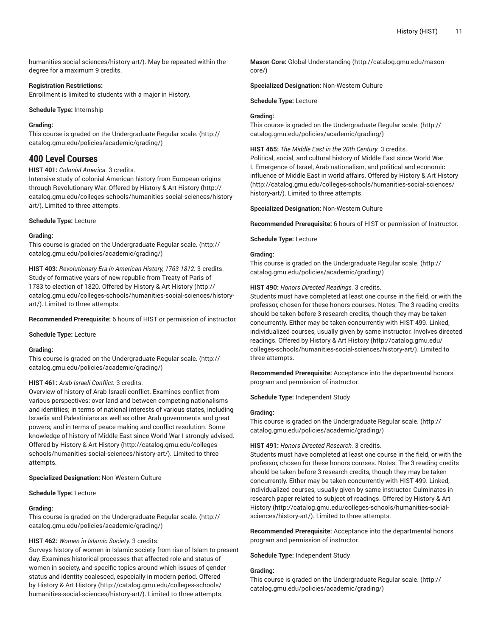[humanities-social-sciences/history-art/](http://catalog.gmu.edu/colleges-schools/humanities-social-sciences/history-art/)). May be repeated within the degree for a maximum 9 credits.

#### **Registration Restrictions:**

Enrollment is limited to students with a major in History.

**Schedule Type:** Internship

#### **Grading:**

This course is graded on the [Undergraduate](http://catalog.gmu.edu/policies/academic/grading/) Regular scale. ([http://](http://catalog.gmu.edu/policies/academic/grading/) [catalog.gmu.edu/policies/academic/grading/\)](http://catalog.gmu.edu/policies/academic/grading/)

# **400 Level Courses**

# **HIST 401:** *Colonial America.* 3 credits.

Intensive study of colonial American history from European origins through Revolutionary War. Offered by History & Art [History](http://catalog.gmu.edu/colleges-schools/humanities-social-sciences/history-art/) ([http://](http://catalog.gmu.edu/colleges-schools/humanities-social-sciences/history-art/) [catalog.gmu.edu/colleges-schools/humanities-social-sciences/history](http://catalog.gmu.edu/colleges-schools/humanities-social-sciences/history-art/)[art/](http://catalog.gmu.edu/colleges-schools/humanities-social-sciences/history-art/)). Limited to three attempts.

#### **Schedule Type:** Lecture

#### **Grading:**

This course is graded on the [Undergraduate](http://catalog.gmu.edu/policies/academic/grading/) Regular scale. ([http://](http://catalog.gmu.edu/policies/academic/grading/) [catalog.gmu.edu/policies/academic/grading/\)](http://catalog.gmu.edu/policies/academic/grading/)

**HIST 403:** *Revolutionary Era in American History, 1763-1812.* 3 credits. Study of formative years of new republic from Treaty of Paris of 1783 to election of 1820. Offered by History & Art [History](http://catalog.gmu.edu/colleges-schools/humanities-social-sciences/history-art/) ([http://](http://catalog.gmu.edu/colleges-schools/humanities-social-sciences/history-art/) [catalog.gmu.edu/colleges-schools/humanities-social-sciences/history](http://catalog.gmu.edu/colleges-schools/humanities-social-sciences/history-art/)[art/](http://catalog.gmu.edu/colleges-schools/humanities-social-sciences/history-art/)). Limited to three attempts.

**Recommended Prerequisite:** 6 hours of HIST or permission of instructor.

**Schedule Type:** Lecture

#### **Grading:**

This course is graded on the [Undergraduate](http://catalog.gmu.edu/policies/academic/grading/) Regular scale. ([http://](http://catalog.gmu.edu/policies/academic/grading/) [catalog.gmu.edu/policies/academic/grading/\)](http://catalog.gmu.edu/policies/academic/grading/)

# **HIST 461:** *Arab-Israeli Conflict.* 3 credits.

Overview of history of Arab-Israeli conflict. Examines conflict from various perspectives: over land and between competing nationalisms and identities; in terms of national interests of various states, including Israelis and Palestinians as well as other Arab governments and great powers; and in terms of peace making and conflict resolution. Some knowledge of history of Middle East since World War I strongly advised. Offered by History & Art [History \(http://catalog.gmu.edu/colleges](http://catalog.gmu.edu/colleges-schools/humanities-social-sciences/history-art/)[schools/humanities-social-sciences/history-art/\)](http://catalog.gmu.edu/colleges-schools/humanities-social-sciences/history-art/). Limited to three attempts.

**Specialized Designation:** Non-Western Culture

#### **Schedule Type:** Lecture

# **Grading:**

This course is graded on the [Undergraduate](http://catalog.gmu.edu/policies/academic/grading/) Regular scale. ([http://](http://catalog.gmu.edu/policies/academic/grading/) [catalog.gmu.edu/policies/academic/grading/\)](http://catalog.gmu.edu/policies/academic/grading/)

# **HIST 462:** *Women in Islamic Society.* 3 credits.

Surveys history of women in Islamic society from rise of Islam to present day. Examines historical processes that affected role and status of women in society, and specific topics around which issues of gender status and identity coalesced, especially in modern period. Offered by History & Art [History](http://catalog.gmu.edu/colleges-schools/humanities-social-sciences/history-art/) ([http://catalog.gmu.edu/colleges-schools/](http://catalog.gmu.edu/colleges-schools/humanities-social-sciences/history-art/) [humanities-social-sciences/history-art/](http://catalog.gmu.edu/colleges-schools/humanities-social-sciences/history-art/)). Limited to three attempts.

**Mason Core:** [Global Understanding \(http://catalog.gmu.edu/mason](http://catalog.gmu.edu/mason-core/)[core/](http://catalog.gmu.edu/mason-core/))

**Specialized Designation:** Non-Western Culture

**Schedule Type:** Lecture

# **Grading:**

This course is graded on the [Undergraduate](http://catalog.gmu.edu/policies/academic/grading/) Regular scale. ([http://](http://catalog.gmu.edu/policies/academic/grading/) [catalog.gmu.edu/policies/academic/grading/](http://catalog.gmu.edu/policies/academic/grading/))

#### **HIST 465:** *The Middle East in the 20th Century.* 3 credits.

Political, social, and cultural history of Middle East since World War I. Emergence of Israel, Arab nationalism, and political and economic influence of Middle East in world affairs. Offered by History & Art [History](http://catalog.gmu.edu/colleges-schools/humanities-social-sciences/history-art/) [\(http://catalog.gmu.edu/colleges-schools/humanities-social-sciences/](http://catalog.gmu.edu/colleges-schools/humanities-social-sciences/history-art/) [history-art/\)](http://catalog.gmu.edu/colleges-schools/humanities-social-sciences/history-art/). Limited to three attempts.

#### **Specialized Designation:** Non-Western Culture

**Recommended Prerequisite:** 6 hours of HIST or permission of Instructor.

**Schedule Type:** Lecture

#### **Grading:**

This course is graded on the [Undergraduate](http://catalog.gmu.edu/policies/academic/grading/) Regular scale. ([http://](http://catalog.gmu.edu/policies/academic/grading/) [catalog.gmu.edu/policies/academic/grading/](http://catalog.gmu.edu/policies/academic/grading/))

#### **HIST 490:** *Honors Directed Readings.* 3 credits.

Students must have completed at least one course in the field, or with the professor, chosen for these honors courses. Notes: The 3 reading credits should be taken before 3 research credits, though they may be taken concurrently. Either may be taken concurrently with HIST 499. Linked, individualized courses, usually given by same instructor. Involves directed readings. Offered by History & Art [History](http://catalog.gmu.edu/colleges-schools/humanities-social-sciences/history-art/) ([http://catalog.gmu.edu/](http://catalog.gmu.edu/colleges-schools/humanities-social-sciences/history-art/) [colleges-schools/humanities-social-sciences/history-art/](http://catalog.gmu.edu/colleges-schools/humanities-social-sciences/history-art/)). Limited to three attempts.

**Recommended Prerequisite:** Acceptance into the departmental honors program and permission of instructor.

**Schedule Type:** Independent Study

#### **Grading:**

This course is graded on the [Undergraduate](http://catalog.gmu.edu/policies/academic/grading/) Regular scale. ([http://](http://catalog.gmu.edu/policies/academic/grading/) [catalog.gmu.edu/policies/academic/grading/](http://catalog.gmu.edu/policies/academic/grading/))

# **HIST 491:** *Honors Directed Research.* 3 credits.

Students must have completed at least one course in the field, or with the professor, chosen for these honors courses. Notes: The 3 reading credits should be taken before 3 research credits, though they may be taken concurrently. Either may be taken concurrently with HIST 499. Linked, individualized courses, usually given by same instructor. Culminates in research paper related to subject of readings. Offered by [History](http://catalog.gmu.edu/colleges-schools/humanities-social-sciences/history-art/) & Art [History](http://catalog.gmu.edu/colleges-schools/humanities-social-sciences/history-art/) [\(http://catalog.gmu.edu/colleges-schools/humanities-social](http://catalog.gmu.edu/colleges-schools/humanities-social-sciences/history-art/)[sciences/history-art/\)](http://catalog.gmu.edu/colleges-schools/humanities-social-sciences/history-art/). Limited to three attempts.

**Recommended Prerequisite:** Acceptance into the departmental honors program and permission of instructor.

**Schedule Type:** Independent Study

# **Grading:**

This course is graded on the [Undergraduate](http://catalog.gmu.edu/policies/academic/grading/) Regular scale. ([http://](http://catalog.gmu.edu/policies/academic/grading/) [catalog.gmu.edu/policies/academic/grading/](http://catalog.gmu.edu/policies/academic/grading/))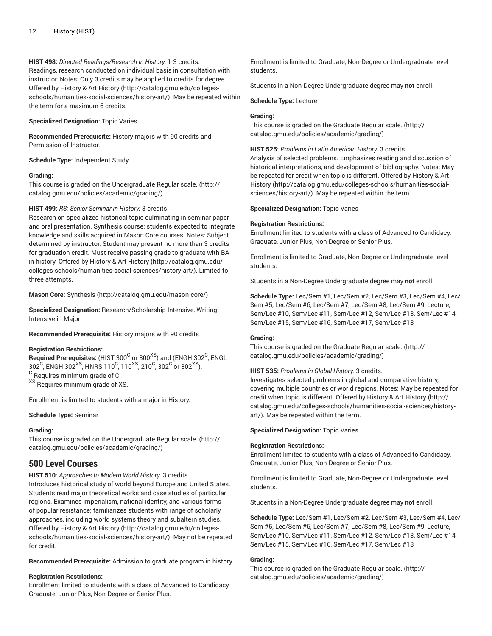**HIST 498:** *Directed Readings/Research in History.* 1-3 credits. Readings, research conducted on individual basis in consultation with instructor. Notes: Only 3 credits may be applied to credits for degree. Offered by History & Art [History \(http://catalog.gmu.edu/colleges](http://catalog.gmu.edu/colleges-schools/humanities-social-sciences/history-art/)[schools/humanities-social-sciences/history-art/\)](http://catalog.gmu.edu/colleges-schools/humanities-social-sciences/history-art/). May be repeated within the term for a maximum 6 credits.

# **Specialized Designation:** Topic Varies

**Recommended Prerequisite:** History majors with 90 credits and Permission of Instructor.

**Schedule Type:** Independent Study

# **Grading:**

This course is graded on the [Undergraduate](http://catalog.gmu.edu/policies/academic/grading/) Regular scale. ([http://](http://catalog.gmu.edu/policies/academic/grading/) [catalog.gmu.edu/policies/academic/grading/\)](http://catalog.gmu.edu/policies/academic/grading/)

# **HIST 499:** *RS: Senior Seminar in History.* 3 credits.

Research on specialized historical topic culminating in seminar paper and oral presentation. Synthesis course; students expected to integrate knowledge and skills acquired in Mason Core courses. Notes: Subject determined by instructor. Student may present no more than 3 credits for graduation credit. Must receive passing grade to graduate with BA in history. Offered by History & Art [History \(http://catalog.gmu.edu/](http://catalog.gmu.edu/colleges-schools/humanities-social-sciences/history-art/) [colleges-schools/humanities-social-sciences/history-art/](http://catalog.gmu.edu/colleges-schools/humanities-social-sciences/history-art/)). Limited to three attempts.

**Mason Core:** [Synthesis \(http://catalog.gmu.edu/mason-core/](http://catalog.gmu.edu/mason-core/))

**Specialized Designation:** Research/Scholarship Intensive, Writing Intensive in Major

# **Recommended Prerequisite:** History majors with 90 credits

# **Registration Restrictions:**

 $\bf{Required\ Pre requires:}$  (HIST 300 $^{\rm C}$  or 300 $^{\rm XS}$ ) and (ENGH 302 $^{\rm C}$ , ENGL 302 $^{\rm C}$ , ENGH 302 $^{\rm XS}$ , HNRS 110 $^{\rm C}$ , 110 $^{\rm XS}$ , 210 $^{\rm C}$ , 302 $^{\rm C}$  or 302 $^{\rm XS}$ ).  $^{\rm C}$  Requires minimum grade of C.

XS Requires minimum grade of XS.

Enrollment is limited to students with a major in History.

# **Schedule Type:** Seminar

# **Grading:**

This course is graded on the [Undergraduate](http://catalog.gmu.edu/policies/academic/grading/) Regular scale. ([http://](http://catalog.gmu.edu/policies/academic/grading/) [catalog.gmu.edu/policies/academic/grading/\)](http://catalog.gmu.edu/policies/academic/grading/)

# **500 Level Courses**

**HIST 510:** *Approaches to Modern World History.* 3 credits. Introduces historical study of world beyond Europe and United States. Students read major theoretical works and case studies of particular regions. Examines imperialism, national identity, and various forms of popular resistance; familiarizes students with range of scholarly approaches, including world systems theory and subaltern studies. Offered by History & Art [History \(http://catalog.gmu.edu/colleges](http://catalog.gmu.edu/colleges-schools/humanities-social-sciences/history-art/)[schools/humanities-social-sciences/history-art/\)](http://catalog.gmu.edu/colleges-schools/humanities-social-sciences/history-art/). May not be repeated for credit.

# **Recommended Prerequisite:** Admission to graduate program in history.

# **Registration Restrictions:**

Enrollment limited to students with a class of Advanced to Candidacy, Graduate, Junior Plus, Non-Degree or Senior Plus.

Enrollment is limited to Graduate, Non-Degree or Undergraduate level students.

Students in a Non-Degree Undergraduate degree may **not** enroll.

# **Schedule Type:** Lecture

# **Grading:**

This course is graded on the [Graduate Regular scale.](http://catalog.gmu.edu/policies/academic/grading/) ([http://](http://catalog.gmu.edu/policies/academic/grading/) [catalog.gmu.edu/policies/academic/grading/](http://catalog.gmu.edu/policies/academic/grading/))

# **HIST 525:** *Problems in Latin American History.* 3 credits.

Analysis of selected problems. Emphasizes reading and discussion of historical interpretations, and development of bibliography. Notes: May be repeated for credit when topic is different. Offered by [History](http://catalog.gmu.edu/colleges-schools/humanities-social-sciences/history-art/) & Art [History](http://catalog.gmu.edu/colleges-schools/humanities-social-sciences/history-art/) [\(http://catalog.gmu.edu/colleges-schools/humanities-social](http://catalog.gmu.edu/colleges-schools/humanities-social-sciences/history-art/)[sciences/history-art/\)](http://catalog.gmu.edu/colleges-schools/humanities-social-sciences/history-art/). May be repeated within the term.

# **Specialized Designation:** Topic Varies

# **Registration Restrictions:**

Enrollment limited to students with a class of Advanced to Candidacy, Graduate, Junior Plus, Non-Degree or Senior Plus.

Enrollment is limited to Graduate, Non-Degree or Undergraduate level students.

Students in a Non-Degree Undergraduate degree may **not** enroll.

**Schedule Type:** Lec/Sem #1, Lec/Sem #2, Lec/Sem #3, Lec/Sem #4, Lec/ Sem #5, Lec/Sem #6, Lec/Sem #7, Lec/Sem #8, Lec/Sem #9, Lecture, Sem/Lec #10, Sem/Lec #11, Sem/Lec #12, Sem/Lec #13, Sem/Lec #14, Sem/Lec #15, Sem/Lec #16, Sem/Lec #17, Sem/Lec #18

# **Grading:**

This course is graded on the [Graduate Regular scale.](http://catalog.gmu.edu/policies/academic/grading/) ([http://](http://catalog.gmu.edu/policies/academic/grading/) [catalog.gmu.edu/policies/academic/grading/](http://catalog.gmu.edu/policies/academic/grading/))

# **HIST 535:** *Problems in Global History.* 3 credits.

Investigates selected problems in global and comparative history, covering multiple countries or world regions. Notes: May be repeated for credit when topic is different. Offered by History & Art [History \(http://](http://catalog.gmu.edu/colleges-schools/humanities-social-sciences/history-art/) [catalog.gmu.edu/colleges-schools/humanities-social-sciences/history](http://catalog.gmu.edu/colleges-schools/humanities-social-sciences/history-art/)[art/\)](http://catalog.gmu.edu/colleges-schools/humanities-social-sciences/history-art/). May be repeated within the term.

**Specialized Designation:** Topic Varies

# **Registration Restrictions:**

Enrollment limited to students with a class of Advanced to Candidacy, Graduate, Junior Plus, Non-Degree or Senior Plus.

Enrollment is limited to Graduate, Non-Degree or Undergraduate level students.

Students in a Non-Degree Undergraduate degree may **not** enroll.

**Schedule Type:** Lec/Sem #1, Lec/Sem #2, Lec/Sem #3, Lec/Sem #4, Lec/ Sem #5, Lec/Sem #6, Lec/Sem #7, Lec/Sem #8, Lec/Sem #9, Lecture, Sem/Lec #10, Sem/Lec #11, Sem/Lec #12, Sem/Lec #13, Sem/Lec #14, Sem/Lec #15, Sem/Lec #16, Sem/Lec #17, Sem/Lec #18

# **Grading:**

This course is graded on the [Graduate Regular scale.](http://catalog.gmu.edu/policies/academic/grading/) ([http://](http://catalog.gmu.edu/policies/academic/grading/) [catalog.gmu.edu/policies/academic/grading/](http://catalog.gmu.edu/policies/academic/grading/))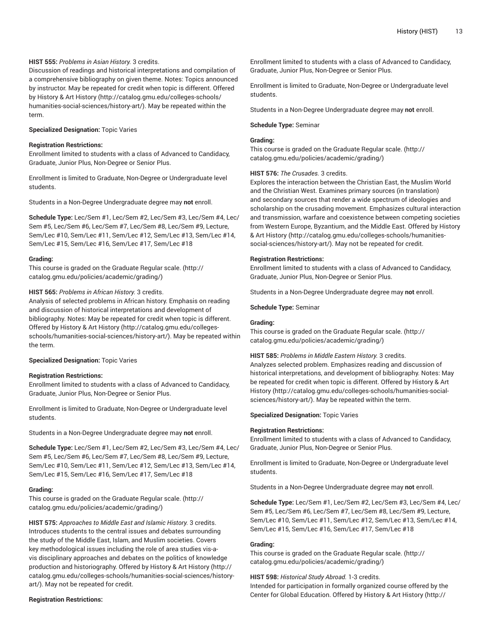# **HIST 555:** *Problems in Asian History.* 3 credits.

Discussion of readings and historical interpretations and compilation of a comprehensive bibliography on given theme. Notes: Topics announced by instructor. May be repeated for credit when topic is different. Offered by History & Art [History](http://catalog.gmu.edu/colleges-schools/humanities-social-sciences/history-art/) ([http://catalog.gmu.edu/colleges-schools/](http://catalog.gmu.edu/colleges-schools/humanities-social-sciences/history-art/) [humanities-social-sciences/history-art/](http://catalog.gmu.edu/colleges-schools/humanities-social-sciences/history-art/)). May be repeated within the term.

# **Specialized Designation:** Topic Varies

# **Registration Restrictions:**

Enrollment limited to students with a class of Advanced to Candidacy, Graduate, Junior Plus, Non-Degree or Senior Plus.

Enrollment is limited to Graduate, Non-Degree or Undergraduate level students.

Students in a Non-Degree Undergraduate degree may **not** enroll.

**Schedule Type:** Lec/Sem #1, Lec/Sem #2, Lec/Sem #3, Lec/Sem #4, Lec/ Sem #5, Lec/Sem #6, Lec/Sem #7, Lec/Sem #8, Lec/Sem #9, Lecture, Sem/Lec #10, Sem/Lec #11, Sem/Lec #12, Sem/Lec #13, Sem/Lec #14, Sem/Lec #15, Sem/Lec #16, Sem/Lec #17, Sem/Lec #18

#### **Grading:**

This course is graded on the [Graduate Regular scale.](http://catalog.gmu.edu/policies/academic/grading/) [\(http://](http://catalog.gmu.edu/policies/academic/grading/) [catalog.gmu.edu/policies/academic/grading/\)](http://catalog.gmu.edu/policies/academic/grading/)

# **HIST 565:** *Problems in African History.* 3 credits.

Analysis of selected problems in African history. Emphasis on reading and discussion of historical interpretations and development of bibliography. Notes: May be repeated for credit when topic is different. Offered by History & Art [History \(http://catalog.gmu.edu/colleges](http://catalog.gmu.edu/colleges-schools/humanities-social-sciences/history-art/)[schools/humanities-social-sciences/history-art/\)](http://catalog.gmu.edu/colleges-schools/humanities-social-sciences/history-art/). May be repeated within the term.

# **Specialized Designation:** Topic Varies

# **Registration Restrictions:**

Enrollment limited to students with a class of Advanced to Candidacy, Graduate, Junior Plus, Non-Degree or Senior Plus.

Enrollment is limited to Graduate, Non-Degree or Undergraduate level students.

Students in a Non-Degree Undergraduate degree may **not** enroll.

**Schedule Type:** Lec/Sem #1, Lec/Sem #2, Lec/Sem #3, Lec/Sem #4, Lec/ Sem #5, Lec/Sem #6, Lec/Sem #7, Lec/Sem #8, Lec/Sem #9, Lecture, Sem/Lec #10, Sem/Lec #11, Sem/Lec #12, Sem/Lec #13, Sem/Lec #14, Sem/Lec #15, Sem/Lec #16, Sem/Lec #17, Sem/Lec #18

# **Grading:**

This course is graded on the [Graduate Regular scale.](http://catalog.gmu.edu/policies/academic/grading/) [\(http://](http://catalog.gmu.edu/policies/academic/grading/) [catalog.gmu.edu/policies/academic/grading/\)](http://catalog.gmu.edu/policies/academic/grading/)

**HIST 575:** *Approaches to Middle East and Islamic History.* 3 credits. Introduces students to the central issues and debates surrounding the study of the Middle East, Islam, and Muslim societies. Covers key methodological issues including the role of area studies vis-avis disciplinary approaches and debates on the politics of knowledge production and historiography. Offered by History & Art [History \(http://](http://catalog.gmu.edu/colleges-schools/humanities-social-sciences/history-art/) [catalog.gmu.edu/colleges-schools/humanities-social-sciences/history](http://catalog.gmu.edu/colleges-schools/humanities-social-sciences/history-art/)[art/](http://catalog.gmu.edu/colleges-schools/humanities-social-sciences/history-art/)). May not be repeated for credit.

#### **Registration Restrictions:**

Enrollment limited to students with a class of Advanced to Candidacy, Graduate, Junior Plus, Non-Degree or Senior Plus.

Enrollment is limited to Graduate, Non-Degree or Undergraduate level students.

Students in a Non-Degree Undergraduate degree may **not** enroll.

#### **Schedule Type:** Seminar

# **Grading:**

This course is graded on the [Graduate Regular scale.](http://catalog.gmu.edu/policies/academic/grading/) ([http://](http://catalog.gmu.edu/policies/academic/grading/) [catalog.gmu.edu/policies/academic/grading/](http://catalog.gmu.edu/policies/academic/grading/))

#### **HIST 576:** *The Crusades.* 3 credits.

Explores the interaction between the Christian East, the Muslim World and the Christian West. Examines primary sources (in translation) and secondary sources that render a wide spectrum of ideologies and scholarship on the crusading movement. Emphasizes cultural interaction and transmission, warfare and coexistence between competing societies from Western Europe, Byzantium, and the Middle East. Offered by [History](http://catalog.gmu.edu/colleges-schools/humanities-social-sciences/history-art/) & Art [History](http://catalog.gmu.edu/colleges-schools/humanities-social-sciences/history-art/) ([http://catalog.gmu.edu/colleges-schools/humanities](http://catalog.gmu.edu/colleges-schools/humanities-social-sciences/history-art/)[social-sciences/history-art/](http://catalog.gmu.edu/colleges-schools/humanities-social-sciences/history-art/)). May not be repeated for credit.

#### **Registration Restrictions:**

Enrollment limited to students with a class of Advanced to Candidacy, Graduate, Junior Plus, Non-Degree or Senior Plus.

Students in a Non-Degree Undergraduate degree may **not** enroll.

**Schedule Type:** Seminar

# **Grading:**

This course is graded on the [Graduate Regular scale.](http://catalog.gmu.edu/policies/academic/grading/) ([http://](http://catalog.gmu.edu/policies/academic/grading/) [catalog.gmu.edu/policies/academic/grading/](http://catalog.gmu.edu/policies/academic/grading/))

# **HIST 585:** *Problems in Middle Eastern History.* 3 credits.

Analyzes selected problem. Emphasizes reading and discussion of historical interpretations, and development of bibliography. Notes: May be repeated for credit when topic is different. Offered by [History](http://catalog.gmu.edu/colleges-schools/humanities-social-sciences/history-art/) & Art [History](http://catalog.gmu.edu/colleges-schools/humanities-social-sciences/history-art/) [\(http://catalog.gmu.edu/colleges-schools/humanities-social](http://catalog.gmu.edu/colleges-schools/humanities-social-sciences/history-art/)[sciences/history-art/\)](http://catalog.gmu.edu/colleges-schools/humanities-social-sciences/history-art/). May be repeated within the term.

#### **Specialized Designation:** Topic Varies

#### **Registration Restrictions:**

Enrollment limited to students with a class of Advanced to Candidacy, Graduate, Junior Plus, Non-Degree or Senior Plus.

Enrollment is limited to Graduate, Non-Degree or Undergraduate level students.

Students in a Non-Degree Undergraduate degree may **not** enroll.

**Schedule Type:** Lec/Sem #1, Lec/Sem #2, Lec/Sem #3, Lec/Sem #4, Lec/ Sem #5, Lec/Sem #6, Lec/Sem #7, Lec/Sem #8, Lec/Sem #9, Lecture, Sem/Lec #10, Sem/Lec #11, Sem/Lec #12, Sem/Lec #13, Sem/Lec #14, Sem/Lec #15, Sem/Lec #16, Sem/Lec #17, Sem/Lec #18

# **Grading:**

This course is graded on the [Graduate Regular scale.](http://catalog.gmu.edu/policies/academic/grading/) ([http://](http://catalog.gmu.edu/policies/academic/grading/) [catalog.gmu.edu/policies/academic/grading/](http://catalog.gmu.edu/policies/academic/grading/))

# **HIST 598:** *Historical Study Abroad.* 1-3 credits.

Intended for participation in formally organized course offered by the Center for Global Education. Offered by History & Art [History](http://catalog.gmu.edu/colleges-schools/humanities-social-sciences/history-art/) ([http://](http://catalog.gmu.edu/colleges-schools/humanities-social-sciences/history-art/)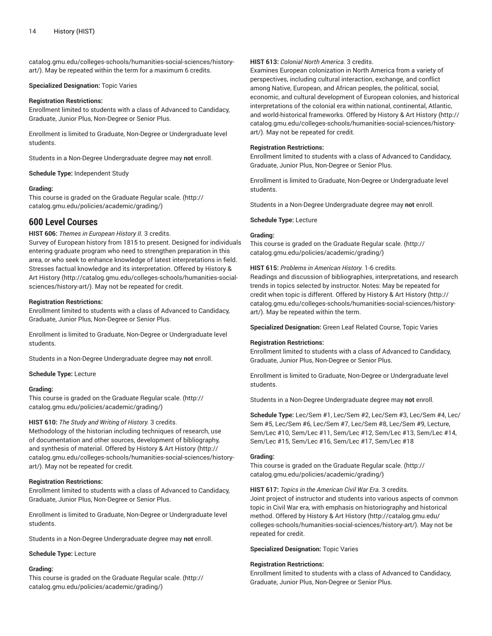[catalog.gmu.edu/colleges-schools/humanities-social-sciences/history](http://catalog.gmu.edu/colleges-schools/humanities-social-sciences/history-art/)[art/](http://catalog.gmu.edu/colleges-schools/humanities-social-sciences/history-art/)). May be repeated within the term for a maximum 6 credits.

#### **Specialized Designation:** Topic Varies

#### **Registration Restrictions:**

Enrollment limited to students with a class of Advanced to Candidacy, Graduate, Junior Plus, Non-Degree or Senior Plus.

Enrollment is limited to Graduate, Non-Degree or Undergraduate level students.

Students in a Non-Degree Undergraduate degree may **not** enroll.

**Schedule Type:** Independent Study

#### **Grading:**

This course is graded on the [Graduate Regular scale.](http://catalog.gmu.edu/policies/academic/grading/) [\(http://](http://catalog.gmu.edu/policies/academic/grading/) [catalog.gmu.edu/policies/academic/grading/\)](http://catalog.gmu.edu/policies/academic/grading/)

# **600 Level Courses**

**HIST 606:** *Themes in European History II.* 3 credits. Survey of European history from 1815 to present. Designed for individuals entering graduate program who need to strengthen preparation in this area, or who seek to enhance knowledge of latest interpretations in field. Stresses factual knowledge and its interpretation. Offered by [History](http://catalog.gmu.edu/colleges-schools/humanities-social-sciences/history-art/) & Art [History \(http://catalog.gmu.edu/colleges-schools/humanities-social](http://catalog.gmu.edu/colleges-schools/humanities-social-sciences/history-art/)[sciences/history-art/](http://catalog.gmu.edu/colleges-schools/humanities-social-sciences/history-art/)). May not be repeated for credit.

#### **Registration Restrictions:**

Enrollment limited to students with a class of Advanced to Candidacy, Graduate, Junior Plus, Non-Degree or Senior Plus.

Enrollment is limited to Graduate, Non-Degree or Undergraduate level students.

Students in a Non-Degree Undergraduate degree may **not** enroll.

**Schedule Type:** Lecture

#### **Grading:**

This course is graded on the [Graduate Regular scale.](http://catalog.gmu.edu/policies/academic/grading/) [\(http://](http://catalog.gmu.edu/policies/academic/grading/) [catalog.gmu.edu/policies/academic/grading/\)](http://catalog.gmu.edu/policies/academic/grading/)

#### **HIST 610:** *The Study and Writing of History.* 3 credits.

Methodology of the historian including techniques of research, use of documentation and other sources, development of bibliography, and synthesis of material. Offered by History & Art [History \(http://](http://catalog.gmu.edu/colleges-schools/humanities-social-sciences/history-art/) [catalog.gmu.edu/colleges-schools/humanities-social-sciences/history](http://catalog.gmu.edu/colleges-schools/humanities-social-sciences/history-art/)[art/](http://catalog.gmu.edu/colleges-schools/humanities-social-sciences/history-art/)). May not be repeated for credit.

# **Registration Restrictions:**

Enrollment limited to students with a class of Advanced to Candidacy, Graduate, Junior Plus, Non-Degree or Senior Plus.

Enrollment is limited to Graduate, Non-Degree or Undergraduate level students.

Students in a Non-Degree Undergraduate degree may **not** enroll.

# **Schedule Type:** Lecture

# **Grading:**

This course is graded on the [Graduate Regular scale.](http://catalog.gmu.edu/policies/academic/grading/) [\(http://](http://catalog.gmu.edu/policies/academic/grading/) [catalog.gmu.edu/policies/academic/grading/\)](http://catalog.gmu.edu/policies/academic/grading/)

# **HIST 613:** *Colonial North America.* 3 credits.

Examines European colonization in North America from a variety of perspectives, including cultural interaction, exchange, and conflict among Native, European, and African peoples, the political, social, economic, and cultural development of European colonies, and historical interpretations of the colonial era within national, continental, Atlantic, and world-historical frameworks. Offered by History & Art [History \(http://](http://catalog.gmu.edu/colleges-schools/humanities-social-sciences/history-art/) [catalog.gmu.edu/colleges-schools/humanities-social-sciences/history](http://catalog.gmu.edu/colleges-schools/humanities-social-sciences/history-art/)[art/\)](http://catalog.gmu.edu/colleges-schools/humanities-social-sciences/history-art/). May not be repeated for credit.

# **Registration Restrictions:**

Enrollment limited to students with a class of Advanced to Candidacy, Graduate, Junior Plus, Non-Degree or Senior Plus.

Enrollment is limited to Graduate, Non-Degree or Undergraduate level students.

Students in a Non-Degree Undergraduate degree may **not** enroll.

#### **Schedule Type:** Lecture

# **Grading:**

This course is graded on the [Graduate Regular scale.](http://catalog.gmu.edu/policies/academic/grading/) ([http://](http://catalog.gmu.edu/policies/academic/grading/) [catalog.gmu.edu/policies/academic/grading/](http://catalog.gmu.edu/policies/academic/grading/))

**HIST 615:** *Problems in American History.* 1-6 credits.

Readings and discussion of bibliographies, interpretations, and research trends in topics selected by instructor. Notes: May be repeated for credit when topic is different. Offered by History & Art [History \(http://](http://catalog.gmu.edu/colleges-schools/humanities-social-sciences/history-art/) [catalog.gmu.edu/colleges-schools/humanities-social-sciences/history](http://catalog.gmu.edu/colleges-schools/humanities-social-sciences/history-art/)[art/\)](http://catalog.gmu.edu/colleges-schools/humanities-social-sciences/history-art/). May be repeated within the term.

**Specialized Designation:** Green Leaf Related Course, Topic Varies

#### **Registration Restrictions:**

Enrollment limited to students with a class of Advanced to Candidacy, Graduate, Junior Plus, Non-Degree or Senior Plus.

Enrollment is limited to Graduate, Non-Degree or Undergraduate level students.

Students in a Non-Degree Undergraduate degree may **not** enroll.

**Schedule Type:** Lec/Sem #1, Lec/Sem #2, Lec/Sem #3, Lec/Sem #4, Lec/ Sem #5, Lec/Sem #6, Lec/Sem #7, Lec/Sem #8, Lec/Sem #9, Lecture, Sem/Lec #10, Sem/Lec #11, Sem/Lec #12, Sem/Lec #13, Sem/Lec #14, Sem/Lec #15, Sem/Lec #16, Sem/Lec #17, Sem/Lec #18

#### **Grading:**

This course is graded on the [Graduate Regular scale.](http://catalog.gmu.edu/policies/academic/grading/) ([http://](http://catalog.gmu.edu/policies/academic/grading/) [catalog.gmu.edu/policies/academic/grading/](http://catalog.gmu.edu/policies/academic/grading/))

**HIST 617:** *Topics in the American Civil War Era.* 3 credits. Joint project of instructor and students into various aspects of common topic in Civil War era, with emphasis on historiography and historical method. Offered by History & Art [History \(http://catalog.gmu.edu/](http://catalog.gmu.edu/colleges-schools/humanities-social-sciences/history-art/) [colleges-schools/humanities-social-sciences/history-art/](http://catalog.gmu.edu/colleges-schools/humanities-social-sciences/history-art/)). May not be repeated for credit.

#### **Specialized Designation:** Topic Varies

# **Registration Restrictions:**

Enrollment limited to students with a class of Advanced to Candidacy, Graduate, Junior Plus, Non-Degree or Senior Plus.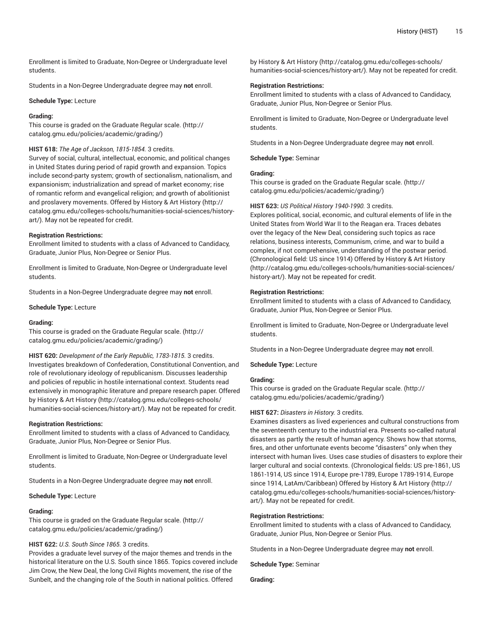Enrollment is limited to Graduate, Non-Degree or Undergraduate level students.

Students in a Non-Degree Undergraduate degree may **not** enroll.

#### **Schedule Type:** Lecture

#### **Grading:**

This course is graded on the [Graduate Regular scale.](http://catalog.gmu.edu/policies/academic/grading/) [\(http://](http://catalog.gmu.edu/policies/academic/grading/) [catalog.gmu.edu/policies/academic/grading/\)](http://catalog.gmu.edu/policies/academic/grading/)

#### **HIST 618:** *The Age of Jackson, 1815-1854.* 3 credits.

Survey of social, cultural, intellectual, economic, and political changes in United States during period of rapid growth and expansion. Topics include second-party system; growth of sectionalism, nationalism, and expansionism; industrialization and spread of market economy; rise of romantic reform and evangelical religion; and growth of abolitionist and proslavery movements. Offered by History & Art [History](http://catalog.gmu.edu/colleges-schools/humanities-social-sciences/history-art/) ([http://](http://catalog.gmu.edu/colleges-schools/humanities-social-sciences/history-art/) [catalog.gmu.edu/colleges-schools/humanities-social-sciences/history](http://catalog.gmu.edu/colleges-schools/humanities-social-sciences/history-art/)[art/](http://catalog.gmu.edu/colleges-schools/humanities-social-sciences/history-art/)). May not be repeated for credit.

#### **Registration Restrictions:**

Enrollment limited to students with a class of Advanced to Candidacy, Graduate, Junior Plus, Non-Degree or Senior Plus.

Enrollment is limited to Graduate, Non-Degree or Undergraduate level students.

Students in a Non-Degree Undergraduate degree may **not** enroll.

#### **Schedule Type:** Lecture

#### **Grading:**

This course is graded on the [Graduate Regular scale.](http://catalog.gmu.edu/policies/academic/grading/) [\(http://](http://catalog.gmu.edu/policies/academic/grading/) [catalog.gmu.edu/policies/academic/grading/\)](http://catalog.gmu.edu/policies/academic/grading/)

**HIST 620:** *Development of the Early Republic, 1783-1815.* 3 credits. Investigates breakdown of Confederation, Constitutional Convention, and role of revolutionary ideology of republicanism. Discusses leadership and policies of republic in hostile international context. Students read extensively in monographic literature and prepare research paper. Offered by History & Art [History](http://catalog.gmu.edu/colleges-schools/humanities-social-sciences/history-art/) ([http://catalog.gmu.edu/colleges-schools/](http://catalog.gmu.edu/colleges-schools/humanities-social-sciences/history-art/) [humanities-social-sciences/history-art/](http://catalog.gmu.edu/colleges-schools/humanities-social-sciences/history-art/)). May not be repeated for credit.

#### **Registration Restrictions:**

Enrollment limited to students with a class of Advanced to Candidacy, Graduate, Junior Plus, Non-Degree or Senior Plus.

Enrollment is limited to Graduate, Non-Degree or Undergraduate level students.

Students in a Non-Degree Undergraduate degree may **not** enroll.

#### **Schedule Type:** Lecture

#### **Grading:**

This course is graded on the [Graduate Regular scale.](http://catalog.gmu.edu/policies/academic/grading/) [\(http://](http://catalog.gmu.edu/policies/academic/grading/) [catalog.gmu.edu/policies/academic/grading/\)](http://catalog.gmu.edu/policies/academic/grading/)

# **HIST 622:** *U.S. South Since 1865.* 3 credits.

Provides a graduate level survey of the major themes and trends in the historical literature on the U.S. South since 1865. Topics covered include Jim Crow, the New Deal, the long Civil Rights movement, the rise of the Sunbelt, and the changing role of the South in national politics. Offered

by History & Art [History \(http://catalog.gmu.edu/colleges-schools/](http://catalog.gmu.edu/colleges-schools/humanities-social-sciences/history-art/) [humanities-social-sciences/history-art/\)](http://catalog.gmu.edu/colleges-schools/humanities-social-sciences/history-art/). May not be repeated for credit.

# **Registration Restrictions:**

Enrollment limited to students with a class of Advanced to Candidacy, Graduate, Junior Plus, Non-Degree or Senior Plus.

Enrollment is limited to Graduate, Non-Degree or Undergraduate level students.

Students in a Non-Degree Undergraduate degree may **not** enroll.

**Schedule Type:** Seminar

# **Grading:**

This course is graded on the [Graduate Regular scale.](http://catalog.gmu.edu/policies/academic/grading/) ([http://](http://catalog.gmu.edu/policies/academic/grading/) [catalog.gmu.edu/policies/academic/grading/](http://catalog.gmu.edu/policies/academic/grading/))

# **HIST 623:** *US Political History 1940-1990.* 3 credits.

Explores political, social, economic, and cultural elements of life in the United States from World War II to the Reagan era. Traces debates over the legacy of the New Deal, considering such topics as race relations, business interests, Communism, crime, and war to build a complex, if not comprehensive, understanding of the postwar period. (Chronological field: US since 1914) Offered by [History](http://catalog.gmu.edu/colleges-schools/humanities-social-sciences/history-art/) & Art History [\(http://catalog.gmu.edu/colleges-schools/humanities-social-sciences/](http://catalog.gmu.edu/colleges-schools/humanities-social-sciences/history-art/) [history-art/\)](http://catalog.gmu.edu/colleges-schools/humanities-social-sciences/history-art/). May not be repeated for credit.

#### **Registration Restrictions:**

Enrollment limited to students with a class of Advanced to Candidacy, Graduate, Junior Plus, Non-Degree or Senior Plus.

Enrollment is limited to Graduate, Non-Degree or Undergraduate level students.

Students in a Non-Degree Undergraduate degree may **not** enroll.

**Schedule Type:** Lecture

# **Grading:**

This course is graded on the [Graduate Regular scale.](http://catalog.gmu.edu/policies/academic/grading/) ([http://](http://catalog.gmu.edu/policies/academic/grading/) [catalog.gmu.edu/policies/academic/grading/](http://catalog.gmu.edu/policies/academic/grading/))

# **HIST 627:** *Disasters in History.* 3 credits.

Examines disasters as lived experiences and cultural constructions from the seventeenth century to the industrial era. Presents so-called natural disasters as partly the result of human agency. Shows how that storms, fires, and other unfortunate events become "disasters" only when they intersect with human lives. Uses case studies of disasters to explore their larger cultural and social contexts. (Chronological fields: US pre-1861, US 1861-1914, US since 1914, Europe pre-1789, Europe 1789-1914, Europe since 1914, LatAm/Caribbean) Offered by History & Art [History](http://catalog.gmu.edu/colleges-schools/humanities-social-sciences/history-art/) ([http://](http://catalog.gmu.edu/colleges-schools/humanities-social-sciences/history-art/) [catalog.gmu.edu/colleges-schools/humanities-social-sciences/history](http://catalog.gmu.edu/colleges-schools/humanities-social-sciences/history-art/)[art/\)](http://catalog.gmu.edu/colleges-schools/humanities-social-sciences/history-art/). May not be repeated for credit.

#### **Registration Restrictions:**

Enrollment limited to students with a class of Advanced to Candidacy, Graduate, Junior Plus, Non-Degree or Senior Plus.

Students in a Non-Degree Undergraduate degree may **not** enroll.

**Schedule Type:** Seminar

**Grading:**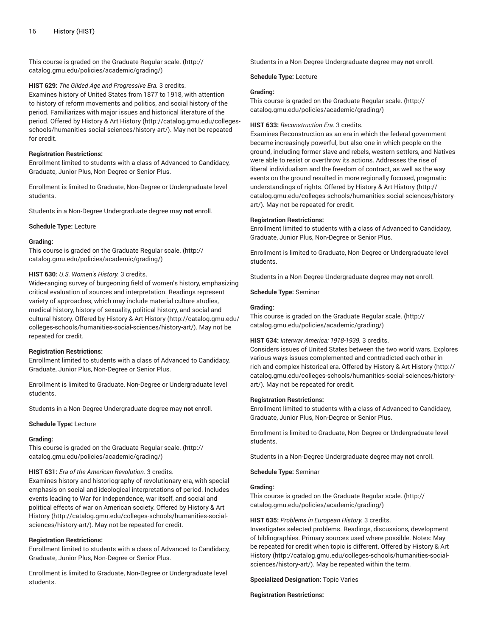This course is graded on the [Graduate Regular scale.](http://catalog.gmu.edu/policies/academic/grading/) [\(http://](http://catalog.gmu.edu/policies/academic/grading/) [catalog.gmu.edu/policies/academic/grading/\)](http://catalog.gmu.edu/policies/academic/grading/)

# **HIST 629:** *The Gilded Age and Progressive Era.* 3 credits.

Examines history of United States from 1877 to 1918, with attention to history of reform movements and politics, and social history of the period. Familiarizes with major issues and historical literature of the period. Offered by [History](http://catalog.gmu.edu/colleges-schools/humanities-social-sciences/history-art/) & Art History [\(http://catalog.gmu.edu/colleges](http://catalog.gmu.edu/colleges-schools/humanities-social-sciences/history-art/)[schools/humanities-social-sciences/history-art/\)](http://catalog.gmu.edu/colleges-schools/humanities-social-sciences/history-art/). May not be repeated for credit.

# **Registration Restrictions:**

Enrollment limited to students with a class of Advanced to Candidacy, Graduate, Junior Plus, Non-Degree or Senior Plus.

Enrollment is limited to Graduate, Non-Degree or Undergraduate level students.

Students in a Non-Degree Undergraduate degree may **not** enroll.

**Schedule Type:** Lecture

# **Grading:**

This course is graded on the [Graduate Regular scale.](http://catalog.gmu.edu/policies/academic/grading/) [\(http://](http://catalog.gmu.edu/policies/academic/grading/) [catalog.gmu.edu/policies/academic/grading/\)](http://catalog.gmu.edu/policies/academic/grading/)

# **HIST 630:** *U.S. Women's History.* 3 credits.

Wide-ranging survey of burgeoning field of women's history, emphasizing critical evaluation of sources and interpretation. Readings represent variety of approaches, which may include material culture studies, medical history, history of sexuality, political history, and social and cultural history. Offered by History & Art [History](http://catalog.gmu.edu/colleges-schools/humanities-social-sciences/history-art/) ([http://catalog.gmu.edu/](http://catalog.gmu.edu/colleges-schools/humanities-social-sciences/history-art/) [colleges-schools/humanities-social-sciences/history-art/](http://catalog.gmu.edu/colleges-schools/humanities-social-sciences/history-art/)). May not be repeated for credit.

# **Registration Restrictions:**

Enrollment limited to students with a class of Advanced to Candidacy, Graduate, Junior Plus, Non-Degree or Senior Plus.

Enrollment is limited to Graduate, Non-Degree or Undergraduate level students.

Students in a Non-Degree Undergraduate degree may **not** enroll.

#### **Schedule Type:** Lecture

#### **Grading:**

This course is graded on the [Graduate Regular scale.](http://catalog.gmu.edu/policies/academic/grading/) [\(http://](http://catalog.gmu.edu/policies/academic/grading/) [catalog.gmu.edu/policies/academic/grading/\)](http://catalog.gmu.edu/policies/academic/grading/)

#### **HIST 631:** *Era of the American Revolution.* 3 credits.

Examines history and historiography of revolutionary era, with special emphasis on social and ideological interpretations of period. Includes events leading to War for Independence, war itself, and social and political effects of war on American society. Offered by [History](http://catalog.gmu.edu/colleges-schools/humanities-social-sciences/history-art/) & Art [History](http://catalog.gmu.edu/colleges-schools/humanities-social-sciences/history-art/) ([http://catalog.gmu.edu/colleges-schools/humanities-social](http://catalog.gmu.edu/colleges-schools/humanities-social-sciences/history-art/)[sciences/history-art/](http://catalog.gmu.edu/colleges-schools/humanities-social-sciences/history-art/)). May not be repeated for credit.

#### **Registration Restrictions:**

Enrollment limited to students with a class of Advanced to Candidacy, Graduate, Junior Plus, Non-Degree or Senior Plus.

Enrollment is limited to Graduate, Non-Degree or Undergraduate level students.

Students in a Non-Degree Undergraduate degree may **not** enroll.

#### **Schedule Type:** Lecture

# **Grading:**

This course is graded on the [Graduate Regular scale.](http://catalog.gmu.edu/policies/academic/grading/) ([http://](http://catalog.gmu.edu/policies/academic/grading/) [catalog.gmu.edu/policies/academic/grading/](http://catalog.gmu.edu/policies/academic/grading/))

#### **HIST 633:** *Reconstruction Era.* 3 credits.

Examines Reconstruction as an era in which the federal government became increasingly powerful, but also one in which people on the ground, including former slave and rebels, western settlers, and Natives were able to resist or overthrow its actions. Addresses the rise of liberal individualism and the freedom of contract, as well as the way events on the ground resulted in more regionally focused, pragmatic understandings of rights. Offered by History & Art [History \(http://](http://catalog.gmu.edu/colleges-schools/humanities-social-sciences/history-art/) [catalog.gmu.edu/colleges-schools/humanities-social-sciences/history](http://catalog.gmu.edu/colleges-schools/humanities-social-sciences/history-art/)[art/\)](http://catalog.gmu.edu/colleges-schools/humanities-social-sciences/history-art/). May not be repeated for credit.

#### **Registration Restrictions:**

Enrollment limited to students with a class of Advanced to Candidacy, Graduate, Junior Plus, Non-Degree or Senior Plus.

Enrollment is limited to Graduate, Non-Degree or Undergraduate level students.

Students in a Non-Degree Undergraduate degree may **not** enroll.

**Schedule Type:** Seminar

#### **Grading:**

This course is graded on the [Graduate Regular scale.](http://catalog.gmu.edu/policies/academic/grading/) ([http://](http://catalog.gmu.edu/policies/academic/grading/) [catalog.gmu.edu/policies/academic/grading/](http://catalog.gmu.edu/policies/academic/grading/))

# **HIST 634:** *Interwar America: 1918-1939.* 3 credits.

Considers issues of United States between the two world wars. Explores various ways issues complemented and contradicted each other in rich and complex historical era. Offered by History & Art [History \(http://](http://catalog.gmu.edu/colleges-schools/humanities-social-sciences/history-art/) [catalog.gmu.edu/colleges-schools/humanities-social-sciences/history](http://catalog.gmu.edu/colleges-schools/humanities-social-sciences/history-art/)[art/\)](http://catalog.gmu.edu/colleges-schools/humanities-social-sciences/history-art/). May not be repeated for credit.

#### **Registration Restrictions:**

Enrollment limited to students with a class of Advanced to Candidacy, Graduate, Junior Plus, Non-Degree or Senior Plus.

Enrollment is limited to Graduate, Non-Degree or Undergraduate level students.

Students in a Non-Degree Undergraduate degree may **not** enroll.

**Schedule Type:** Seminar

# **Grading:**

This course is graded on the [Graduate Regular scale.](http://catalog.gmu.edu/policies/academic/grading/) ([http://](http://catalog.gmu.edu/policies/academic/grading/) [catalog.gmu.edu/policies/academic/grading/](http://catalog.gmu.edu/policies/academic/grading/))

#### **HIST 635:** *Problems in European History.* 3 credits.

Investigates selected problems. Readings, discussions, development of bibliographies. Primary sources used where possible. Notes: May be repeated for credit when topic is different. Offered by [History](http://catalog.gmu.edu/colleges-schools/humanities-social-sciences/history-art/) & Art [History](http://catalog.gmu.edu/colleges-schools/humanities-social-sciences/history-art/) [\(http://catalog.gmu.edu/colleges-schools/humanities-social](http://catalog.gmu.edu/colleges-schools/humanities-social-sciences/history-art/)[sciences/history-art/\)](http://catalog.gmu.edu/colleges-schools/humanities-social-sciences/history-art/). May be repeated within the term.

**Specialized Designation:** Topic Varies

#### **Registration Restrictions:**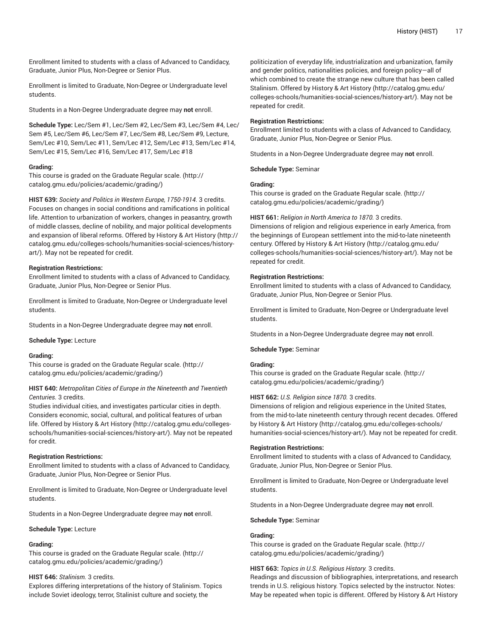Enrollment limited to students with a class of Advanced to Candidacy, Graduate, Junior Plus, Non-Degree or Senior Plus.

Enrollment is limited to Graduate, Non-Degree or Undergraduate level students.

Students in a Non-Degree Undergraduate degree may **not** enroll.

**Schedule Type:** Lec/Sem #1, Lec/Sem #2, Lec/Sem #3, Lec/Sem #4, Lec/ Sem #5, Lec/Sem #6, Lec/Sem #7, Lec/Sem #8, Lec/Sem #9, Lecture, Sem/Lec #10, Sem/Lec #11, Sem/Lec #12, Sem/Lec #13, Sem/Lec #14, Sem/Lec #15, Sem/Lec #16, Sem/Lec #17, Sem/Lec #18

# **Grading:**

This course is graded on the [Graduate Regular scale.](http://catalog.gmu.edu/policies/academic/grading/) [\(http://](http://catalog.gmu.edu/policies/academic/grading/) [catalog.gmu.edu/policies/academic/grading/\)](http://catalog.gmu.edu/policies/academic/grading/)

**HIST 639:** *Society and Politics in Western Europe, 1750-1914.* 3 credits. Focuses on changes in social conditions and ramifications in political life. Attention to urbanization of workers, changes in peasantry, growth of middle classes, decline of nobility, and major political developments and expansion of liberal reforms. Offered by History & Art [History \(http://](http://catalog.gmu.edu/colleges-schools/humanities-social-sciences/history-art/) [catalog.gmu.edu/colleges-schools/humanities-social-sciences/history](http://catalog.gmu.edu/colleges-schools/humanities-social-sciences/history-art/)[art/](http://catalog.gmu.edu/colleges-schools/humanities-social-sciences/history-art/)). May not be repeated for credit.

#### **Registration Restrictions:**

Enrollment limited to students with a class of Advanced to Candidacy, Graduate, Junior Plus, Non-Degree or Senior Plus.

Enrollment is limited to Graduate, Non-Degree or Undergraduate level students.

Students in a Non-Degree Undergraduate degree may **not** enroll.

#### **Schedule Type:** Lecture

#### **Grading:**

This course is graded on the [Graduate Regular scale.](http://catalog.gmu.edu/policies/academic/grading/) [\(http://](http://catalog.gmu.edu/policies/academic/grading/) [catalog.gmu.edu/policies/academic/grading/\)](http://catalog.gmu.edu/policies/academic/grading/)

# **HIST 640:** *Metropolitan Cities of Europe in the Nineteenth and Twentieth Centuries.* 3 credits.

Studies individual cities, and investigates particular cities in depth. Considers economic, social, cultural, and political features of urban life. Offered by History & Art [History \(http://catalog.gmu.edu/colleges](http://catalog.gmu.edu/colleges-schools/humanities-social-sciences/history-art/)[schools/humanities-social-sciences/history-art/\)](http://catalog.gmu.edu/colleges-schools/humanities-social-sciences/history-art/). May not be repeated for credit.

#### **Registration Restrictions:**

Enrollment limited to students with a class of Advanced to Candidacy, Graduate, Junior Plus, Non-Degree or Senior Plus.

Enrollment is limited to Graduate, Non-Degree or Undergraduate level students.

Students in a Non-Degree Undergraduate degree may **not** enroll.

#### **Schedule Type:** Lecture

#### **Grading:**

This course is graded on the [Graduate Regular scale.](http://catalog.gmu.edu/policies/academic/grading/) [\(http://](http://catalog.gmu.edu/policies/academic/grading/) [catalog.gmu.edu/policies/academic/grading/\)](http://catalog.gmu.edu/policies/academic/grading/)

# **HIST 646:** *Stalinism.* 3 credits.

Explores differing interpretations of the history of Stalinism. Topics include Soviet ideology, terror, Stalinist culture and society, the

politicization of everyday life, industrialization and urbanization, family and gender politics, nationalities policies, and foreign policy—all of which combined to create the strange new culture that has been called Stalinism. Offered by [History](http://catalog.gmu.edu/colleges-schools/humanities-social-sciences/history-art/) & Art History ([http://catalog.gmu.edu/](http://catalog.gmu.edu/colleges-schools/humanities-social-sciences/history-art/) [colleges-schools/humanities-social-sciences/history-art/](http://catalog.gmu.edu/colleges-schools/humanities-social-sciences/history-art/)). May not be repeated for credit.

#### **Registration Restrictions:**

Enrollment limited to students with a class of Advanced to Candidacy, Graduate, Junior Plus, Non-Degree or Senior Plus.

Students in a Non-Degree Undergraduate degree may **not** enroll.

**Schedule Type:** Seminar

# **Grading:**

This course is graded on the [Graduate Regular scale.](http://catalog.gmu.edu/policies/academic/grading/) ([http://](http://catalog.gmu.edu/policies/academic/grading/) [catalog.gmu.edu/policies/academic/grading/](http://catalog.gmu.edu/policies/academic/grading/))

#### **HIST 661:** *Religion in North America to 1870.* 3 credits.

Dimensions of religion and religious experience in early America, from the beginnings of European settlement into the mid-to-late nineteenth century. Offered by History & Art [History \(http://catalog.gmu.edu/](http://catalog.gmu.edu/colleges-schools/humanities-social-sciences/history-art/) [colleges-schools/humanities-social-sciences/history-art/](http://catalog.gmu.edu/colleges-schools/humanities-social-sciences/history-art/)). May not be repeated for credit.

# **Registration Restrictions:**

Enrollment limited to students with a class of Advanced to Candidacy, Graduate, Junior Plus, Non-Degree or Senior Plus.

Enrollment is limited to Graduate, Non-Degree or Undergraduate level students.

Students in a Non-Degree Undergraduate degree may **not** enroll.

#### **Schedule Type:** Seminar

# **Grading:**

This course is graded on the [Graduate Regular scale.](http://catalog.gmu.edu/policies/academic/grading/) ([http://](http://catalog.gmu.edu/policies/academic/grading/) [catalog.gmu.edu/policies/academic/grading/](http://catalog.gmu.edu/policies/academic/grading/))

# **HIST 662:** *U.S. Religion since 1870.* 3 credits.

Dimensions of religion and religious experience in the United States, from the mid-to-late nineteenth century through recent decades. Offered by History & Art [History \(http://catalog.gmu.edu/colleges-schools/](http://catalog.gmu.edu/colleges-schools/humanities-social-sciences/history-art/) [humanities-social-sciences/history-art/\)](http://catalog.gmu.edu/colleges-schools/humanities-social-sciences/history-art/). May not be repeated for credit.

#### **Registration Restrictions:**

Enrollment limited to students with a class of Advanced to Candidacy, Graduate, Junior Plus, Non-Degree or Senior Plus.

Enrollment is limited to Graduate, Non-Degree or Undergraduate level students.

Students in a Non-Degree Undergraduate degree may **not** enroll.

**Schedule Type:** Seminar

# **Grading:**

This course is graded on the [Graduate Regular scale.](http://catalog.gmu.edu/policies/academic/grading/) ([http://](http://catalog.gmu.edu/policies/academic/grading/) [catalog.gmu.edu/policies/academic/grading/](http://catalog.gmu.edu/policies/academic/grading/))

# **HIST 663:** *Topics in U.S. Religious History.* 3 credits.

Readings and discussion of bibliographies, interpretations, and research trends in U.S. religious history. Topics selected by the instructor. Notes: May be repeated when topic is different. Offered by [History](http://catalog.gmu.edu/colleges-schools/humanities-social-sciences/history-art/) & Art History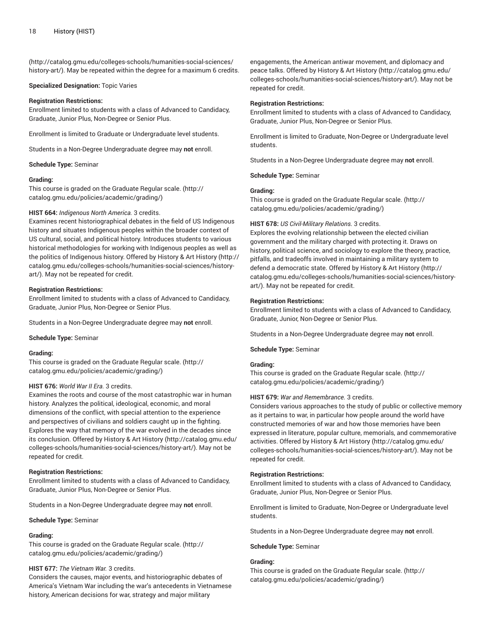([http://catalog.gmu.edu/colleges-schools/humanities-social-sciences/](http://catalog.gmu.edu/colleges-schools/humanities-social-sciences/history-art/) [history-art/](http://catalog.gmu.edu/colleges-schools/humanities-social-sciences/history-art/)). May be repeated within the degree for a maximum 6 credits.

#### **Specialized Designation:** Topic Varies

#### **Registration Restrictions:**

Enrollment limited to students with a class of Advanced to Candidacy, Graduate, Junior Plus, Non-Degree or Senior Plus.

Enrollment is limited to Graduate or Undergraduate level students.

Students in a Non-Degree Undergraduate degree may **not** enroll.

**Schedule Type:** Seminar

#### **Grading:**

This course is graded on the [Graduate Regular scale.](http://catalog.gmu.edu/policies/academic/grading/) [\(http://](http://catalog.gmu.edu/policies/academic/grading/) [catalog.gmu.edu/policies/academic/grading/\)](http://catalog.gmu.edu/policies/academic/grading/)

#### **HIST 664:** *Indigenous North America.* 3 credits.

Examines recent historiographical debates in the field of US Indigenous history and situates Indigenous peoples within the broader context of US cultural, social, and political history. Introduces students to various historical methodologies for working with Indigenous peoples as well as the politics of Indigenous history. Offered by [History](http://catalog.gmu.edu/colleges-schools/humanities-social-sciences/history-art/) & Art History ([http://](http://catalog.gmu.edu/colleges-schools/humanities-social-sciences/history-art/) [catalog.gmu.edu/colleges-schools/humanities-social-sciences/history](http://catalog.gmu.edu/colleges-schools/humanities-social-sciences/history-art/)[art/](http://catalog.gmu.edu/colleges-schools/humanities-social-sciences/history-art/)). May not be repeated for credit.

#### **Registration Restrictions:**

Enrollment limited to students with a class of Advanced to Candidacy, Graduate, Junior Plus, Non-Degree or Senior Plus.

Students in a Non-Degree Undergraduate degree may **not** enroll.

**Schedule Type:** Seminar

#### **Grading:**

This course is graded on the [Graduate Regular scale.](http://catalog.gmu.edu/policies/academic/grading/) [\(http://](http://catalog.gmu.edu/policies/academic/grading/) [catalog.gmu.edu/policies/academic/grading/\)](http://catalog.gmu.edu/policies/academic/grading/)

# **HIST 676:** *World War II Era.* 3 credits.

Examines the roots and course of the most catastrophic war in human history. Analyzes the political, ideological, economic, and moral dimensions of the conflict, with special attention to the experience and perspectives of civilians and soldiers caught up in the fighting. Explores the way that memory of the war evolved in the decades since its conclusion. Offered by [History](http://catalog.gmu.edu/colleges-schools/humanities-social-sciences/history-art/) & Art History ([http://catalog.gmu.edu/](http://catalog.gmu.edu/colleges-schools/humanities-social-sciences/history-art/) [colleges-schools/humanities-social-sciences/history-art/](http://catalog.gmu.edu/colleges-schools/humanities-social-sciences/history-art/)). May not be repeated for credit.

# **Registration Restrictions:**

Enrollment limited to students with a class of Advanced to Candidacy, Graduate, Junior Plus, Non-Degree or Senior Plus.

Students in a Non-Degree Undergraduate degree may **not** enroll.

**Schedule Type:** Seminar

# **Grading:**

This course is graded on the [Graduate Regular scale.](http://catalog.gmu.edu/policies/academic/grading/) [\(http://](http://catalog.gmu.edu/policies/academic/grading/) [catalog.gmu.edu/policies/academic/grading/\)](http://catalog.gmu.edu/policies/academic/grading/)

# **HIST 677:** *The Vietnam War.* 3 credits.

Considers the causes, major events, and historiographic debates of America's Vietnam War including the war's antecedents in Vietnamese history, American decisions for war, strategy and major military

engagements, the American antiwar movement, and diplomacy and peace talks. Offered by History & Art [History](http://catalog.gmu.edu/colleges-schools/humanities-social-sciences/history-art/) ([http://catalog.gmu.edu/](http://catalog.gmu.edu/colleges-schools/humanities-social-sciences/history-art/) [colleges-schools/humanities-social-sciences/history-art/](http://catalog.gmu.edu/colleges-schools/humanities-social-sciences/history-art/)). May not be repeated for credit.

#### **Registration Restrictions:**

Enrollment limited to students with a class of Advanced to Candidacy, Graduate, Junior Plus, Non-Degree or Senior Plus.

Enrollment is limited to Graduate, Non-Degree or Undergraduate level students.

Students in a Non-Degree Undergraduate degree may **not** enroll.

**Schedule Type:** Seminar

# **Grading:**

This course is graded on the [Graduate Regular scale.](http://catalog.gmu.edu/policies/academic/grading/) ([http://](http://catalog.gmu.edu/policies/academic/grading/) [catalog.gmu.edu/policies/academic/grading/](http://catalog.gmu.edu/policies/academic/grading/))

#### **HIST 678:** *US Civil-Military Relations.* 3 credits.

Explores the evolving relationship between the elected civilian government and the military charged with protecting it. Draws on history, political science, and sociology to explore the theory, practice, pitfalls, and tradeoffs involved in maintaining a military system to defend a democratic state. Offered by History & Art [History](http://catalog.gmu.edu/colleges-schools/humanities-social-sciences/history-art/) ([http://](http://catalog.gmu.edu/colleges-schools/humanities-social-sciences/history-art/) [catalog.gmu.edu/colleges-schools/humanities-social-sciences/history](http://catalog.gmu.edu/colleges-schools/humanities-social-sciences/history-art/)[art/\)](http://catalog.gmu.edu/colleges-schools/humanities-social-sciences/history-art/). May not be repeated for credit.

#### **Registration Restrictions:**

Enrollment limited to students with a class of Advanced to Candidacy, Graduate, Junior, Non-Degree or Senior Plus.

Students in a Non-Degree Undergraduate degree may **not** enroll.

#### **Schedule Type:** Seminar

#### **Grading:**

This course is graded on the [Graduate Regular scale.](http://catalog.gmu.edu/policies/academic/grading/) ([http://](http://catalog.gmu.edu/policies/academic/grading/) [catalog.gmu.edu/policies/academic/grading/](http://catalog.gmu.edu/policies/academic/grading/))

# **HIST 679:** *War and Remembrance.* 3 credits.

Considers various approaches to the study of public or collective memory as it pertains to war, in particular how people around the world have constructed memories of war and how those memories have been expressed in literature, popular culture, memorials, and commemorative activities. Offered by History & Art [History \(http://catalog.gmu.edu/](http://catalog.gmu.edu/colleges-schools/humanities-social-sciences/history-art/) [colleges-schools/humanities-social-sciences/history-art/](http://catalog.gmu.edu/colleges-schools/humanities-social-sciences/history-art/)). May not be repeated for credit.

# **Registration Restrictions:**

Enrollment limited to students with a class of Advanced to Candidacy, Graduate, Junior Plus, Non-Degree or Senior Plus.

Enrollment is limited to Graduate, Non-Degree or Undergraduate level students.

Students in a Non-Degree Undergraduate degree may **not** enroll.

#### **Schedule Type:** Seminar

# **Grading:**

This course is graded on the [Graduate Regular scale.](http://catalog.gmu.edu/policies/academic/grading/) ([http://](http://catalog.gmu.edu/policies/academic/grading/) [catalog.gmu.edu/policies/academic/grading/](http://catalog.gmu.edu/policies/academic/grading/))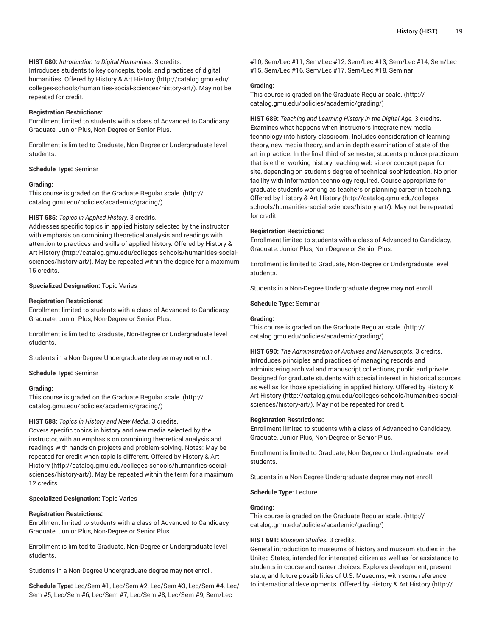# **HIST 680:** *Introduction to Digital Humanities.* 3 credits.

Introduces students to key concepts, tools, and practices of digital humanities. Offered by [History](http://catalog.gmu.edu/colleges-schools/humanities-social-sciences/history-art/) & Art History ([http://catalog.gmu.edu/](http://catalog.gmu.edu/colleges-schools/humanities-social-sciences/history-art/) [colleges-schools/humanities-social-sciences/history-art/](http://catalog.gmu.edu/colleges-schools/humanities-social-sciences/history-art/)). May not be repeated for credit.

#### **Registration Restrictions:**

Enrollment limited to students with a class of Advanced to Candidacy, Graduate, Junior Plus, Non-Degree or Senior Plus.

Enrollment is limited to Graduate, Non-Degree or Undergraduate level students.

#### **Schedule Type:** Seminar

#### **Grading:**

This course is graded on the [Graduate Regular scale.](http://catalog.gmu.edu/policies/academic/grading/) [\(http://](http://catalog.gmu.edu/policies/academic/grading/) [catalog.gmu.edu/policies/academic/grading/\)](http://catalog.gmu.edu/policies/academic/grading/)

#### **HIST 685:** *Topics in Applied History.* 3 credits.

Addresses specific topics in applied history selected by the instructor, with emphasis on combining theoretical analysis and readings with attention to practices and skills of applied history. Offered by [History](http://catalog.gmu.edu/colleges-schools/humanities-social-sciences/history-art/) & Art [History \(http://catalog.gmu.edu/colleges-schools/humanities-social](http://catalog.gmu.edu/colleges-schools/humanities-social-sciences/history-art/)[sciences/history-art/](http://catalog.gmu.edu/colleges-schools/humanities-social-sciences/history-art/)). May be repeated within the degree for a maximum 15 credits.

# **Specialized Designation:** Topic Varies

#### **Registration Restrictions:**

Enrollment limited to students with a class of Advanced to Candidacy, Graduate, Junior Plus, Non-Degree or Senior Plus.

Enrollment is limited to Graduate, Non-Degree or Undergraduate level students.

Students in a Non-Degree Undergraduate degree may **not** enroll.

#### **Schedule Type:** Seminar

#### **Grading:**

This course is graded on the [Graduate Regular scale.](http://catalog.gmu.edu/policies/academic/grading/) [\(http://](http://catalog.gmu.edu/policies/academic/grading/) [catalog.gmu.edu/policies/academic/grading/\)](http://catalog.gmu.edu/policies/academic/grading/)

#### **HIST 688:** *Topics in History and New Media.* 3 credits.

Covers specific topics in history and new media selected by the instructor, with an emphasis on combining theoretical analysis and readings with hands-on projects and problem-solving. Notes: May be repeated for credit when topic is different. Offered by [History](http://catalog.gmu.edu/colleges-schools/humanities-social-sciences/history-art/) & Art [History](http://catalog.gmu.edu/colleges-schools/humanities-social-sciences/history-art/) ([http://catalog.gmu.edu/colleges-schools/humanities-social](http://catalog.gmu.edu/colleges-schools/humanities-social-sciences/history-art/)[sciences/history-art/](http://catalog.gmu.edu/colleges-schools/humanities-social-sciences/history-art/)). May be repeated within the term for a maximum 12 credits.

# **Specialized Designation:** Topic Varies

#### **Registration Restrictions:**

Enrollment limited to students with a class of Advanced to Candidacy, Graduate, Junior Plus, Non-Degree or Senior Plus.

Enrollment is limited to Graduate, Non-Degree or Undergraduate level students.

Students in a Non-Degree Undergraduate degree may **not** enroll.

**Schedule Type:** Lec/Sem #1, Lec/Sem #2, Lec/Sem #3, Lec/Sem #4, Lec/ Sem #5, Lec/Sem #6, Lec/Sem #7, Lec/Sem #8, Lec/Sem #9, Sem/Lec

#10, Sem/Lec #11, Sem/Lec #12, Sem/Lec #13, Sem/Lec #14, Sem/Lec #15, Sem/Lec #16, Sem/Lec #17, Sem/Lec #18, Seminar

# **Grading:**

This course is graded on the [Graduate Regular scale.](http://catalog.gmu.edu/policies/academic/grading/) ([http://](http://catalog.gmu.edu/policies/academic/grading/) [catalog.gmu.edu/policies/academic/grading/](http://catalog.gmu.edu/policies/academic/grading/))

**HIST 689:** *Teaching and Learning History in the Digital Age.* 3 credits. Examines what happens when instructors integrate new media technology into history classroom. Includes consideration of learning theory, new media theory, and an in-depth examination of state-of-theart in practice. In the final third of semester, students produce practicum that is either working history teaching web site or concept paper for site, depending on student's degree of technical sophistication. No prior facility with information technology required. Course appropriate for graduate students working as teachers or planning career in teaching. Offered by [History](http://catalog.gmu.edu/colleges-schools/humanities-social-sciences/history-art/) & Art History ([http://catalog.gmu.edu/colleges](http://catalog.gmu.edu/colleges-schools/humanities-social-sciences/history-art/)[schools/humanities-social-sciences/history-art/](http://catalog.gmu.edu/colleges-schools/humanities-social-sciences/history-art/)). May not be repeated for credit.

#### **Registration Restrictions:**

Enrollment limited to students with a class of Advanced to Candidacy, Graduate, Junior Plus, Non-Degree or Senior Plus.

Enrollment is limited to Graduate, Non-Degree or Undergraduate level students.

Students in a Non-Degree Undergraduate degree may **not** enroll.

**Schedule Type:** Seminar

#### **Grading:**

This course is graded on the [Graduate Regular scale.](http://catalog.gmu.edu/policies/academic/grading/) ([http://](http://catalog.gmu.edu/policies/academic/grading/) [catalog.gmu.edu/policies/academic/grading/](http://catalog.gmu.edu/policies/academic/grading/))

**HIST 690:** *The Administration of Archives and Manuscripts.* 3 credits. Introduces principles and practices of managing records and administering archival and manuscript collections, public and private. Designed for graduate students with special interest in historical sources as well as for those specializing in applied history. Offered by [History](http://catalog.gmu.edu/colleges-schools/humanities-social-sciences/history-art/) & Art [History](http://catalog.gmu.edu/colleges-schools/humanities-social-sciences/history-art/) ([http://catalog.gmu.edu/colleges-schools/humanities-social](http://catalog.gmu.edu/colleges-schools/humanities-social-sciences/history-art/)[sciences/history-art/\)](http://catalog.gmu.edu/colleges-schools/humanities-social-sciences/history-art/). May not be repeated for credit.

#### **Registration Restrictions:**

Enrollment limited to students with a class of Advanced to Candidacy, Graduate, Junior Plus, Non-Degree or Senior Plus.

Enrollment is limited to Graduate, Non-Degree or Undergraduate level students.

Students in a Non-Degree Undergraduate degree may **not** enroll.

**Schedule Type:** Lecture

# **Grading:**

This course is graded on the [Graduate Regular scale.](http://catalog.gmu.edu/policies/academic/grading/) ([http://](http://catalog.gmu.edu/policies/academic/grading/) [catalog.gmu.edu/policies/academic/grading/](http://catalog.gmu.edu/policies/academic/grading/))

#### **HIST 691:** *Museum Studies.* 3 credits.

General introduction to museums of history and museum studies in the United States, intended for interested citizen as well as for assistance to students in course and career choices. Explores development, present state, and future possibilities of U.S. Museums, with some reference to international developments. Offered by History & Art [History \(http://](http://catalog.gmu.edu/colleges-schools/humanities-social-sciences/history-art/)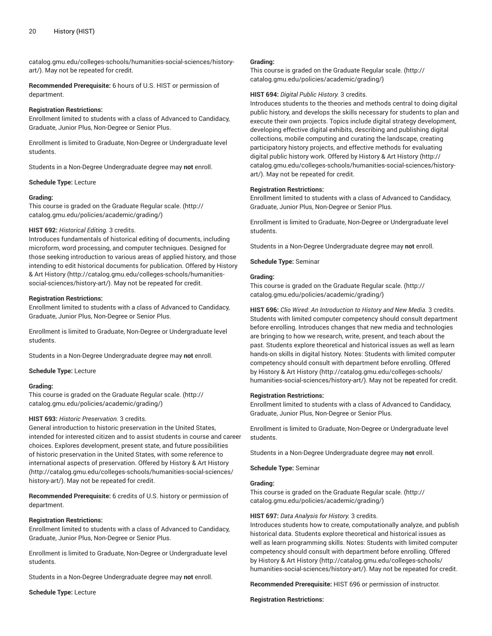[catalog.gmu.edu/colleges-schools/humanities-social-sciences/history](http://catalog.gmu.edu/colleges-schools/humanities-social-sciences/history-art/)[art/](http://catalog.gmu.edu/colleges-schools/humanities-social-sciences/history-art/)). May not be repeated for credit.

**Recommended Prerequisite:** 6 hours of U.S. HIST or permission of department.

#### **Registration Restrictions:**

Enrollment limited to students with a class of Advanced to Candidacy, Graduate, Junior Plus, Non-Degree or Senior Plus.

Enrollment is limited to Graduate, Non-Degree or Undergraduate level students.

Students in a Non-Degree Undergraduate degree may **not** enroll.

**Schedule Type:** Lecture

#### **Grading:**

This course is graded on the [Graduate Regular scale.](http://catalog.gmu.edu/policies/academic/grading/) [\(http://](http://catalog.gmu.edu/policies/academic/grading/) [catalog.gmu.edu/policies/academic/grading/\)](http://catalog.gmu.edu/policies/academic/grading/)

# **HIST 692:** *Historical Editing.* 3 credits.

Introduces fundamentals of historical editing of documents, including microform, word processing, and computer techniques. Designed for those seeking introduction to various areas of applied history, and those intending to edit historical documents for publication. Offered by [History](http://catalog.gmu.edu/colleges-schools/humanities-social-sciences/history-art/) & Art [History \(http://catalog.gmu.edu/colleges-schools/humanities](http://catalog.gmu.edu/colleges-schools/humanities-social-sciences/history-art/)[social-sciences/history-art/](http://catalog.gmu.edu/colleges-schools/humanities-social-sciences/history-art/)). May not be repeated for credit.

#### **Registration Restrictions:**

Enrollment limited to students with a class of Advanced to Candidacy, Graduate, Junior Plus, Non-Degree or Senior Plus.

Enrollment is limited to Graduate, Non-Degree or Undergraduate level students.

Students in a Non-Degree Undergraduate degree may **not** enroll.

#### **Schedule Type:** Lecture

#### **Grading:**

This course is graded on the [Graduate Regular scale.](http://catalog.gmu.edu/policies/academic/grading/) [\(http://](http://catalog.gmu.edu/policies/academic/grading/) [catalog.gmu.edu/policies/academic/grading/\)](http://catalog.gmu.edu/policies/academic/grading/)

#### **HIST 693:** *Historic Preservation.* 3 credits.

General introduction to historic preservation in the United States, intended for interested citizen and to assist students in course and career choices. Explores development, present state, and future possibilities of historic preservation in the United States, with some reference to international aspects of preservation. Offered by [History](http://catalog.gmu.edu/colleges-schools/humanities-social-sciences/history-art/) & Art History ([http://catalog.gmu.edu/colleges-schools/humanities-social-sciences/](http://catalog.gmu.edu/colleges-schools/humanities-social-sciences/history-art/) [history-art/](http://catalog.gmu.edu/colleges-schools/humanities-social-sciences/history-art/)). May not be repeated for credit.

**Recommended Prerequisite:** 6 credits of U.S. history or permission of department.

#### **Registration Restrictions:**

Enrollment limited to students with a class of Advanced to Candidacy, Graduate, Junior Plus, Non-Degree or Senior Plus.

Enrollment is limited to Graduate, Non-Degree or Undergraduate level students.

Students in a Non-Degree Undergraduate degree may **not** enroll.

**Schedule Type:** Lecture

#### **Grading:**

This course is graded on the [Graduate Regular scale.](http://catalog.gmu.edu/policies/academic/grading/) ([http://](http://catalog.gmu.edu/policies/academic/grading/) [catalog.gmu.edu/policies/academic/grading/](http://catalog.gmu.edu/policies/academic/grading/))

#### **HIST 694:** *Digital Public History.* 3 credits.

Introduces students to the theories and methods central to doing digital public history, and develops the skills necessary for students to plan and execute their own projects. Topics include digital strategy development, developing effective digital exhibits, describing and publishing digital collections, mobile computing and curating the landscape, creating participatory history projects, and effective methods for evaluating digital public history work. Offered by History & Art [History \(http://](http://catalog.gmu.edu/colleges-schools/humanities-social-sciences/history-art/) [catalog.gmu.edu/colleges-schools/humanities-social-sciences/history](http://catalog.gmu.edu/colleges-schools/humanities-social-sciences/history-art/)[art/\)](http://catalog.gmu.edu/colleges-schools/humanities-social-sciences/history-art/). May not be repeated for credit.

# **Registration Restrictions:**

Enrollment limited to students with a class of Advanced to Candidacy, Graduate, Junior Plus, Non-Degree or Senior Plus.

Enrollment is limited to Graduate, Non-Degree or Undergraduate level students.

Students in a Non-Degree Undergraduate degree may **not** enroll.

**Schedule Type:** Seminar

# **Grading:**

This course is graded on the [Graduate Regular scale.](http://catalog.gmu.edu/policies/academic/grading/) ([http://](http://catalog.gmu.edu/policies/academic/grading/) [catalog.gmu.edu/policies/academic/grading/](http://catalog.gmu.edu/policies/academic/grading/))

**HIST 696:** *Clio Wired: An Introduction to History and New Media.* 3 credits. Students with limited computer competency should consult department before enrolling. Introduces changes that new media and technologies are bringing to how we research, write, present, and teach about the past. Students explore theoretical and historical issues as well as learn hands-on skills in digital history. Notes: Students with limited computer competency should consult with department before enrolling. Offered by History & Art [History \(http://catalog.gmu.edu/colleges-schools/](http://catalog.gmu.edu/colleges-schools/humanities-social-sciences/history-art/) [humanities-social-sciences/history-art/\)](http://catalog.gmu.edu/colleges-schools/humanities-social-sciences/history-art/). May not be repeated for credit.

#### **Registration Restrictions:**

Enrollment limited to students with a class of Advanced to Candidacy, Graduate, Junior Plus, Non-Degree or Senior Plus.

Enrollment is limited to Graduate, Non-Degree or Undergraduate level students.

Students in a Non-Degree Undergraduate degree may **not** enroll.

**Schedule Type:** Seminar

# **Grading:**

This course is graded on the [Graduate Regular scale.](http://catalog.gmu.edu/policies/academic/grading/) ([http://](http://catalog.gmu.edu/policies/academic/grading/) [catalog.gmu.edu/policies/academic/grading/](http://catalog.gmu.edu/policies/academic/grading/))

# **HIST 697:** *Data Analysis for History.* 3 credits.

Introduces students how to create, computationally analyze, and publish historical data. Students explore theoretical and historical issues as well as learn programming skills. Notes: Students with limited computer competency should consult with department before enrolling. Offered by History & Art [History \(http://catalog.gmu.edu/colleges-schools/](http://catalog.gmu.edu/colleges-schools/humanities-social-sciences/history-art/) [humanities-social-sciences/history-art/\)](http://catalog.gmu.edu/colleges-schools/humanities-social-sciences/history-art/). May not be repeated for credit.

**Recommended Prerequisite:** HIST 696 or permission of instructor.

**Registration Restrictions:**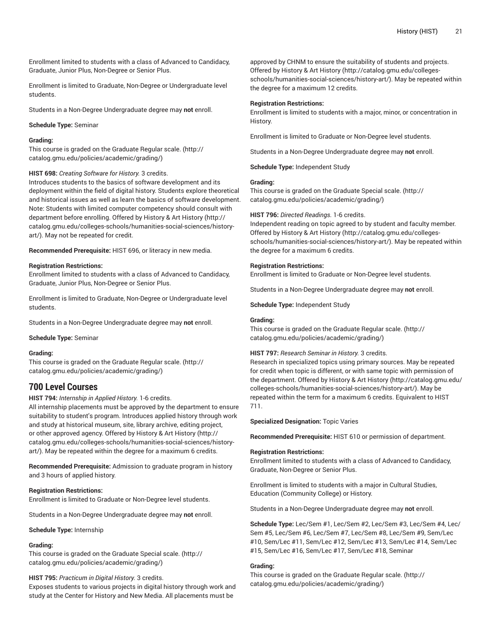Enrollment limited to students with a class of Advanced to Candidacy, Graduate, Junior Plus, Non-Degree or Senior Plus.

Enrollment is limited to Graduate, Non-Degree or Undergraduate level students.

Students in a Non-Degree Undergraduate degree may **not** enroll.

#### **Schedule Type:** Seminar

#### **Grading:**

This course is graded on the [Graduate Regular scale.](http://catalog.gmu.edu/policies/academic/grading/) [\(http://](http://catalog.gmu.edu/policies/academic/grading/) [catalog.gmu.edu/policies/academic/grading/\)](http://catalog.gmu.edu/policies/academic/grading/)

#### **HIST 698:** *Creating Software for History.* 3 credits.

Introduces students to the basics of software development and its deployment within the field of digital history. Students explore theoretical and historical issues as well as learn the basics of software development. Note: Students with limited computer competency should consult with department before enrolling. Offered by History & Art [History \(http://](http://catalog.gmu.edu/colleges-schools/humanities-social-sciences/history-art/) [catalog.gmu.edu/colleges-schools/humanities-social-sciences/history](http://catalog.gmu.edu/colleges-schools/humanities-social-sciences/history-art/)[art/](http://catalog.gmu.edu/colleges-schools/humanities-social-sciences/history-art/)). May not be repeated for credit.

**Recommended Prerequisite:** HIST 696, or literacy in new media.

#### **Registration Restrictions:**

Enrollment limited to students with a class of Advanced to Candidacy, Graduate, Junior Plus, Non-Degree or Senior Plus.

Enrollment is limited to Graduate, Non-Degree or Undergraduate level students.

Students in a Non-Degree Undergraduate degree may **not** enroll.

**Schedule Type:** Seminar

#### **Grading:**

This course is graded on the [Graduate Regular scale.](http://catalog.gmu.edu/policies/academic/grading/) [\(http://](http://catalog.gmu.edu/policies/academic/grading/) [catalog.gmu.edu/policies/academic/grading/\)](http://catalog.gmu.edu/policies/academic/grading/)

# **700 Level Courses**

**HIST 794:** *Internship in Applied History.* 1-6 credits.

All internship placements must be approved by the department to ensure suitability to student's program. Introduces applied history through work and study at historical museum, site, library archive, editing project, or other approved agency. Offered by History & Art [History \(http://](http://catalog.gmu.edu/colleges-schools/humanities-social-sciences/history-art/) [catalog.gmu.edu/colleges-schools/humanities-social-sciences/history](http://catalog.gmu.edu/colleges-schools/humanities-social-sciences/history-art/)[art/](http://catalog.gmu.edu/colleges-schools/humanities-social-sciences/history-art/)). May be repeated within the degree for a maximum 6 credits.

**Recommended Prerequisite:** Admission to graduate program in history and 3 hours of applied history.

# **Registration Restrictions:**

Enrollment is limited to Graduate or Non-Degree level students.

Students in a Non-Degree Undergraduate degree may **not** enroll.

**Schedule Type:** Internship

# **Grading:**

This course is graded on the [Graduate Special scale.](http://catalog.gmu.edu/policies/academic/grading/) ([http://](http://catalog.gmu.edu/policies/academic/grading/) [catalog.gmu.edu/policies/academic/grading/\)](http://catalog.gmu.edu/policies/academic/grading/)

#### **HIST 795:** *Practicum in Digital History.* 3 credits.

Exposes students to various projects in digital history through work and study at the Center for History and New Media. All placements must be

approved by CHNM to ensure the suitability of students and projects. Offered by [History](http://catalog.gmu.edu/colleges-schools/humanities-social-sciences/history-art/) & Art History ([http://catalog.gmu.edu/colleges](http://catalog.gmu.edu/colleges-schools/humanities-social-sciences/history-art/)[schools/humanities-social-sciences/history-art/](http://catalog.gmu.edu/colleges-schools/humanities-social-sciences/history-art/)). May be repeated within the degree for a maximum 12 credits.

#### **Registration Restrictions:**

Enrollment is limited to students with a major, minor, or concentration in History.

Enrollment is limited to Graduate or Non-Degree level students.

Students in a Non-Degree Undergraduate degree may **not** enroll.

**Schedule Type:** Independent Study

#### **Grading:**

This course is graded on the [Graduate Special scale. \(http://](http://catalog.gmu.edu/policies/academic/grading/) [catalog.gmu.edu/policies/academic/grading/](http://catalog.gmu.edu/policies/academic/grading/))

#### **HIST 796:** *Directed Readings.* 1-6 credits.

Independent reading on topic agreed to by student and faculty member. Offered by [History](http://catalog.gmu.edu/colleges-schools/humanities-social-sciences/history-art/) & Art History ([http://catalog.gmu.edu/colleges](http://catalog.gmu.edu/colleges-schools/humanities-social-sciences/history-art/)[schools/humanities-social-sciences/history-art/](http://catalog.gmu.edu/colleges-schools/humanities-social-sciences/history-art/)). May be repeated within the degree for a maximum 6 credits.

# **Registration Restrictions:**

Enrollment is limited to Graduate or Non-Degree level students.

Students in a Non-Degree Undergraduate degree may **not** enroll.

**Schedule Type:** Independent Study

#### **Grading:**

This course is graded on the [Graduate Regular scale.](http://catalog.gmu.edu/policies/academic/grading/) ([http://](http://catalog.gmu.edu/policies/academic/grading/) [catalog.gmu.edu/policies/academic/grading/](http://catalog.gmu.edu/policies/academic/grading/))

#### **HIST 797:** *Research Seminar in History.* 3 credits.

Research in specialized topics using primary sources. May be repeated for credit when topic is different, or with same topic with permission of the department. Offered by History & Art [History \(http://catalog.gmu.edu/](http://catalog.gmu.edu/colleges-schools/humanities-social-sciences/history-art/) [colleges-schools/humanities-social-sciences/history-art/](http://catalog.gmu.edu/colleges-schools/humanities-social-sciences/history-art/)). May be repeated within the term for a maximum 6 credits. Equivalent to HIST 711.

# **Specialized Designation:** Topic Varies

**Recommended Prerequisite:** HIST 610 or permission of department.

# **Registration Restrictions:**

Enrollment limited to students with a class of Advanced to Candidacy, Graduate, Non-Degree or Senior Plus.

Enrollment is limited to students with a major in Cultural Studies, Education (Community College) or History.

Students in a Non-Degree Undergraduate degree may **not** enroll.

**Schedule Type:** Lec/Sem #1, Lec/Sem #2, Lec/Sem #3, Lec/Sem #4, Lec/ Sem #5, Lec/Sem #6, Lec/Sem #7, Lec/Sem #8, Lec/Sem #9, Sem/Lec #10, Sem/Lec #11, Sem/Lec #12, Sem/Lec #13, Sem/Lec #14, Sem/Lec #15, Sem/Lec #16, Sem/Lec #17, Sem/Lec #18, Seminar

# **Grading:**

This course is graded on the [Graduate Regular scale.](http://catalog.gmu.edu/policies/academic/grading/) ([http://](http://catalog.gmu.edu/policies/academic/grading/) [catalog.gmu.edu/policies/academic/grading/](http://catalog.gmu.edu/policies/academic/grading/))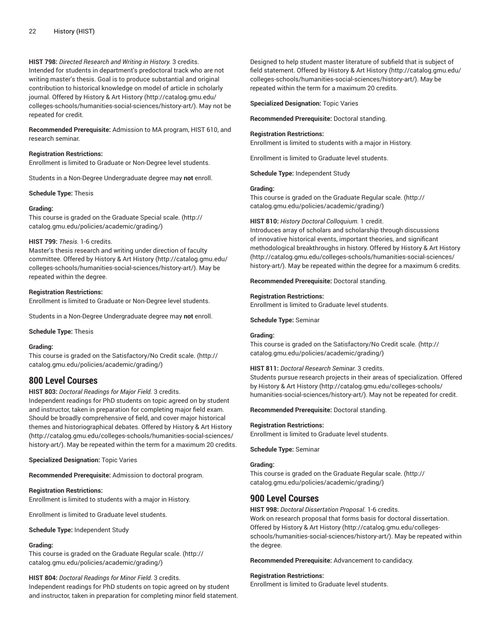# **HIST 798:** *Directed Research and Writing in History.* 3 credits.

Intended for students in department's predoctoral track who are not writing master's thesis. Goal is to produce substantial and original contribution to historical knowledge on model of article in scholarly journal. Offered by History & Art [History \(http://catalog.gmu.edu/](http://catalog.gmu.edu/colleges-schools/humanities-social-sciences/history-art/) [colleges-schools/humanities-social-sciences/history-art/](http://catalog.gmu.edu/colleges-schools/humanities-social-sciences/history-art/)). May not be repeated for credit.

**Recommended Prerequisite:** Admission to MA program, HIST 610, and research seminar.

# **Registration Restrictions:**

Enrollment is limited to Graduate or Non-Degree level students.

Students in a Non-Degree Undergraduate degree may **not** enroll.

**Schedule Type:** Thesis

#### **Grading:**

This course is graded on the [Graduate Special scale.](http://catalog.gmu.edu/policies/academic/grading/) ([http://](http://catalog.gmu.edu/policies/academic/grading/) [catalog.gmu.edu/policies/academic/grading/\)](http://catalog.gmu.edu/policies/academic/grading/)

# **HIST 799:** *Thesis.* 1-6 credits.

Master's thesis research and writing under direction of faculty committee. Offered by History & Art [History \(http://catalog.gmu.edu/](http://catalog.gmu.edu/colleges-schools/humanities-social-sciences/history-art/) [colleges-schools/humanities-social-sciences/history-art/](http://catalog.gmu.edu/colleges-schools/humanities-social-sciences/history-art/)). May be repeated within the degree.

# **Registration Restrictions:**

Enrollment is limited to Graduate or Non-Degree level students.

Students in a Non-Degree Undergraduate degree may **not** enroll.

#### **Schedule Type:** Thesis

# **Grading:**

This course is graded on the [Satisfactory/No](http://catalog.gmu.edu/policies/academic/grading/) Credit scale. ([http://](http://catalog.gmu.edu/policies/academic/grading/) [catalog.gmu.edu/policies/academic/grading/\)](http://catalog.gmu.edu/policies/academic/grading/)

# **800 Level Courses**

# **HIST 803:** *Doctoral Readings for Major Field.* 3 credits.

Independent readings for PhD students on topic agreed on by student and instructor, taken in preparation for completing major field exam. Should be broadly comprehensive of field, and cover major historical themes and historiographical debates. Offered by [History](http://catalog.gmu.edu/colleges-schools/humanities-social-sciences/history-art/) & Art History ([http://catalog.gmu.edu/colleges-schools/humanities-social-sciences/](http://catalog.gmu.edu/colleges-schools/humanities-social-sciences/history-art/) [history-art/](http://catalog.gmu.edu/colleges-schools/humanities-social-sciences/history-art/)). May be repeated within the term for a maximum 20 credits.

# **Specialized Designation:** Topic Varies

**Recommended Prerequisite:** Admission to doctoral program.

# **Registration Restrictions:**

Enrollment is limited to students with a major in History.

Enrollment is limited to Graduate level students.

**Schedule Type:** Independent Study

# **Grading:**

This course is graded on the [Graduate Regular scale.](http://catalog.gmu.edu/policies/academic/grading/) [\(http://](http://catalog.gmu.edu/policies/academic/grading/) [catalog.gmu.edu/policies/academic/grading/\)](http://catalog.gmu.edu/policies/academic/grading/)

# **HIST 804:** *Doctoral Readings for Minor Field.* 3 credits.

Independent readings for PhD students on topic agreed on by student and instructor, taken in preparation for completing minor field statement.

Designed to help student master literature of subfield that is subject of field statement. Offered by History & Art [History](http://catalog.gmu.edu/colleges-schools/humanities-social-sciences/history-art/) ([http://catalog.gmu.edu/](http://catalog.gmu.edu/colleges-schools/humanities-social-sciences/history-art/) [colleges-schools/humanities-social-sciences/history-art/](http://catalog.gmu.edu/colleges-schools/humanities-social-sciences/history-art/)). May be repeated within the term for a maximum 20 credits.

#### **Specialized Designation:** Topic Varies

**Recommended Prerequisite:** Doctoral standing.

# **Registration Restrictions:**

Enrollment is limited to students with a major in History.

Enrollment is limited to Graduate level students.

**Schedule Type:** Independent Study

# **Grading:**

This course is graded on the [Graduate Regular scale.](http://catalog.gmu.edu/policies/academic/grading/) ([http://](http://catalog.gmu.edu/policies/academic/grading/) [catalog.gmu.edu/policies/academic/grading/](http://catalog.gmu.edu/policies/academic/grading/))

#### **HIST 810:** *History Doctoral Colloquium.* 1 credit.

Introduces array of scholars and scholarship through discussions of innovative historical events, important theories, and significant methodological breakthroughs in history. Offered by [History](http://catalog.gmu.edu/colleges-schools/humanities-social-sciences/history-art/) & Art History [\(http://catalog.gmu.edu/colleges-schools/humanities-social-sciences/](http://catalog.gmu.edu/colleges-schools/humanities-social-sciences/history-art/) [history-art/\)](http://catalog.gmu.edu/colleges-schools/humanities-social-sciences/history-art/). May be repeated within the degree for a maximum 6 credits.

#### **Recommended Prerequisite:** Doctoral standing.

#### **Registration Restrictions:**

Enrollment is limited to Graduate level students.

# **Schedule Type:** Seminar

# **Grading:**

This course is graded on the [Satisfactory/No](http://catalog.gmu.edu/policies/academic/grading/) Credit scale. [\(http://](http://catalog.gmu.edu/policies/academic/grading/) [catalog.gmu.edu/policies/academic/grading/](http://catalog.gmu.edu/policies/academic/grading/))

# **HIST 811:** *Doctoral Research Seminar.* 3 credits.

Students pursue research projects in their areas of specialization. Offered by History & Art [History \(http://catalog.gmu.edu/colleges-schools/](http://catalog.gmu.edu/colleges-schools/humanities-social-sciences/history-art/) [humanities-social-sciences/history-art/\)](http://catalog.gmu.edu/colleges-schools/humanities-social-sciences/history-art/). May not be repeated for credit.

#### **Recommended Prerequisite:** Doctoral standing.

# **Registration Restrictions:**

Enrollment is limited to Graduate level students.

**Schedule Type:** Seminar

# **Grading:**

This course is graded on the [Graduate Regular scale.](http://catalog.gmu.edu/policies/academic/grading/) ([http://](http://catalog.gmu.edu/policies/academic/grading/) [catalog.gmu.edu/policies/academic/grading/](http://catalog.gmu.edu/policies/academic/grading/))

# **900 Level Courses**

**HIST 998:** *Doctoral Dissertation Proposal.* 1-6 credits.

Work on research proposal that forms basis for doctoral dissertation. Offered by [History](http://catalog.gmu.edu/colleges-schools/humanities-social-sciences/history-art/) & Art History ([http://catalog.gmu.edu/colleges](http://catalog.gmu.edu/colleges-schools/humanities-social-sciences/history-art/)[schools/humanities-social-sciences/history-art/](http://catalog.gmu.edu/colleges-schools/humanities-social-sciences/history-art/)). May be repeated within the degree.

**Recommended Prerequisite:** Advancement to candidacy.

#### **Registration Restrictions:**

Enrollment is limited to Graduate level students.